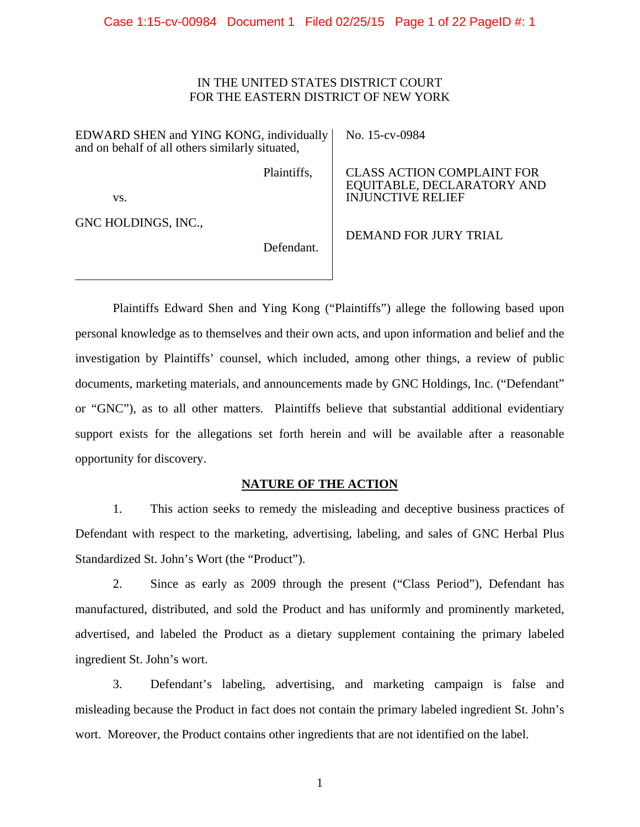# IN THE UNITED STATES DISTRICT COURT FOR THE EASTERN DISTRICT OF NEW YORK

EDWARD SHEN and YING KONG, individually and on behalf of all others similarly situated,

No. 15-cv-0984

Plaintiffs,

CLASS ACTION COMPLAINT FOR EQUITABLE, DECLARATORY AND INJUNCTIVE RELIEF

vs.

GNC HOLDINGS, INC.,

Defendant.

DEMAND FOR JURY TRIAL

Plaintiffs Edward Shen and Ying Kong ("Plaintiffs") allege the following based upon personal knowledge as to themselves and their own acts, and upon information and belief and the investigation by Plaintiffs' counsel, which included, among other things, a review of public documents, marketing materials, and announcements made by GNC Holdings, Inc. ("Defendant" or "GNC"), as to all other matters. Plaintiffs believe that substantial additional evidentiary support exists for the allegations set forth herein and will be available after a reasonable opportunity for discovery.

# **NATURE OF THE ACTION**

1. This action seeks to remedy the misleading and deceptive business practices of Defendant with respect to the marketing, advertising, labeling, and sales of GNC Herbal Plus Standardized St. John's Wort (the "Product").

2. Since as early as 2009 through the present ("Class Period"), Defendant has manufactured, distributed, and sold the Product and has uniformly and prominently marketed, advertised, and labeled the Product as a dietary supplement containing the primary labeled ingredient St. John's wort.

3. Defendant's labeling, advertising, and marketing campaign is false and misleading because the Product in fact does not contain the primary labeled ingredient St. John's wort. Moreover, the Product contains other ingredients that are not identified on the label.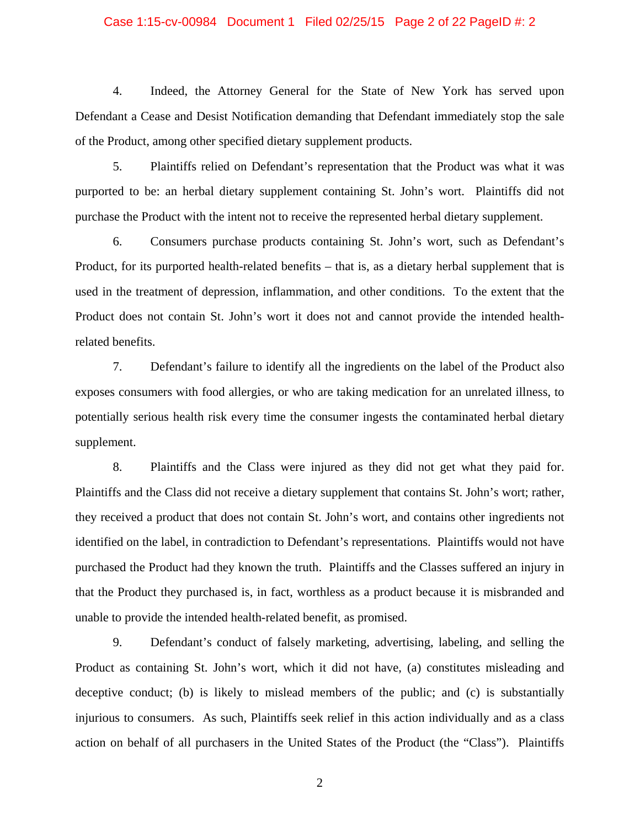#### Case 1:15-cv-00984 Document 1 Filed 02/25/15 Page 2 of 22 PageID #: 2

4. Indeed, the Attorney General for the State of New York has served upon Defendant a Cease and Desist Notification demanding that Defendant immediately stop the sale of the Product, among other specified dietary supplement products.

5. Plaintiffs relied on Defendant's representation that the Product was what it was purported to be: an herbal dietary supplement containing St. John's wort. Plaintiffs did not purchase the Product with the intent not to receive the represented herbal dietary supplement.

6. Consumers purchase products containing St. John's wort, such as Defendant's Product, for its purported health-related benefits – that is, as a dietary herbal supplement that is used in the treatment of depression, inflammation, and other conditions. To the extent that the Product does not contain St. John's wort it does not and cannot provide the intended healthrelated benefits.

7. Defendant's failure to identify all the ingredients on the label of the Product also exposes consumers with food allergies, or who are taking medication for an unrelated illness, to potentially serious health risk every time the consumer ingests the contaminated herbal dietary supplement.

8. Plaintiffs and the Class were injured as they did not get what they paid for. Plaintiffs and the Class did not receive a dietary supplement that contains St. John's wort; rather, they received a product that does not contain St. John's wort, and contains other ingredients not identified on the label, in contradiction to Defendant's representations. Plaintiffs would not have purchased the Product had they known the truth. Plaintiffs and the Classes suffered an injury in that the Product they purchased is, in fact, worthless as a product because it is misbranded and unable to provide the intended health-related benefit, as promised.

9. Defendant's conduct of falsely marketing, advertising, labeling, and selling the Product as containing St. John's wort, which it did not have, (a) constitutes misleading and deceptive conduct; (b) is likely to mislead members of the public; and (c) is substantially injurious to consumers. As such, Plaintiffs seek relief in this action individually and as a class action on behalf of all purchasers in the United States of the Product (the "Class"). Plaintiffs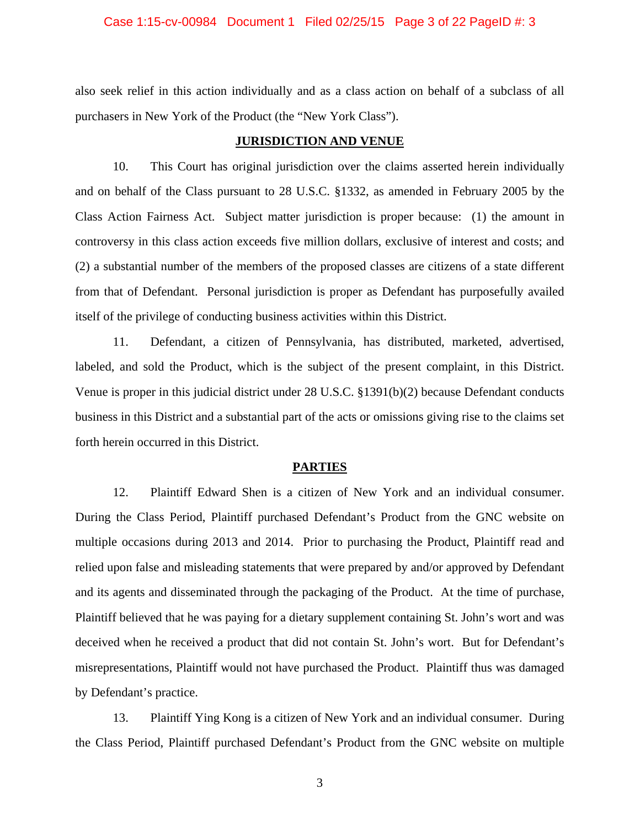#### Case 1:15-cv-00984 Document 1 Filed 02/25/15 Page 3 of 22 PageID #: 3

also seek relief in this action individually and as a class action on behalf of a subclass of all purchasers in New York of the Product (the "New York Class").

#### **JURISDICTION AND VENUE**

10. This Court has original jurisdiction over the claims asserted herein individually and on behalf of the Class pursuant to 28 U.S.C. §1332, as amended in February 2005 by the Class Action Fairness Act. Subject matter jurisdiction is proper because: (1) the amount in controversy in this class action exceeds five million dollars, exclusive of interest and costs; and (2) a substantial number of the members of the proposed classes are citizens of a state different from that of Defendant. Personal jurisdiction is proper as Defendant has purposefully availed itself of the privilege of conducting business activities within this District.

11. Defendant, a citizen of Pennsylvania, has distributed, marketed, advertised, labeled, and sold the Product, which is the subject of the present complaint, in this District. Venue is proper in this judicial district under 28 U.S.C. §1391(b)(2) because Defendant conducts business in this District and a substantial part of the acts or omissions giving rise to the claims set forth herein occurred in this District.

#### **PARTIES**

12. Plaintiff Edward Shen is a citizen of New York and an individual consumer. During the Class Period, Plaintiff purchased Defendant's Product from the GNC website on multiple occasions during 2013 and 2014. Prior to purchasing the Product, Plaintiff read and relied upon false and misleading statements that were prepared by and/or approved by Defendant and its agents and disseminated through the packaging of the Product. At the time of purchase, Plaintiff believed that he was paying for a dietary supplement containing St. John's wort and was deceived when he received a product that did not contain St. John's wort. But for Defendant's misrepresentations, Plaintiff would not have purchased the Product. Plaintiff thus was damaged by Defendant's practice.

13. Plaintiff Ying Kong is a citizen of New York and an individual consumer. During the Class Period, Plaintiff purchased Defendant's Product from the GNC website on multiple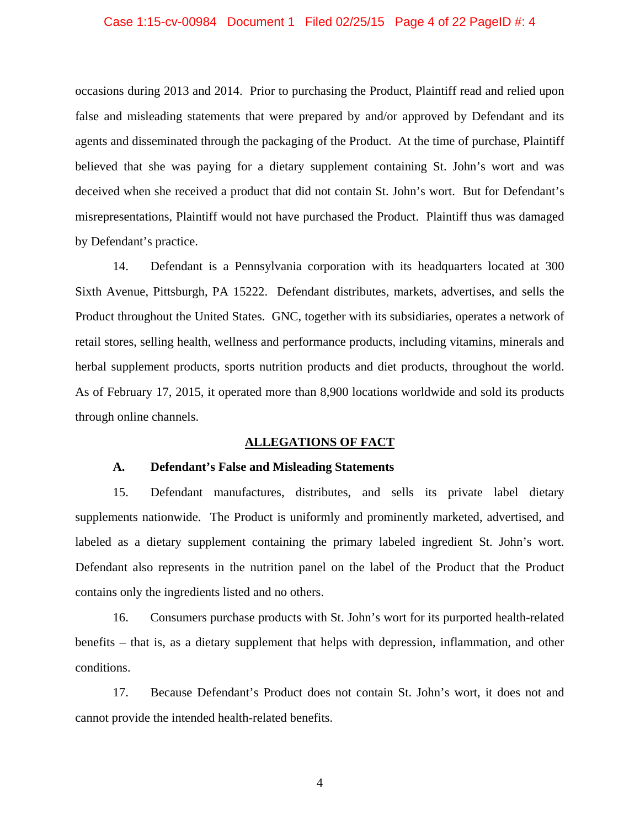#### Case 1:15-cv-00984 Document 1 Filed 02/25/15 Page 4 of 22 PageID #: 4

occasions during 2013 and 2014. Prior to purchasing the Product, Plaintiff read and relied upon false and misleading statements that were prepared by and/or approved by Defendant and its agents and disseminated through the packaging of the Product. At the time of purchase, Plaintiff believed that she was paying for a dietary supplement containing St. John's wort and was deceived when she received a product that did not contain St. John's wort. But for Defendant's misrepresentations, Plaintiff would not have purchased the Product. Plaintiff thus was damaged by Defendant's practice.

14. Defendant is a Pennsylvania corporation with its headquarters located at 300 Sixth Avenue, Pittsburgh, PA 15222. Defendant distributes, markets, advertises, and sells the Product throughout the United States. GNC, together with its subsidiaries, operates a network of retail stores, selling health, wellness and performance products, including vitamins, minerals and herbal supplement products, sports nutrition products and diet products, throughout the world. As of February 17, 2015, it operated more than 8,900 locations worldwide and sold its products through online channels.

# **ALLEGATIONS OF FACT**

#### **A. Defendant's False and Misleading Statements**

15. Defendant manufactures, distributes, and sells its private label dietary supplements nationwide. The Product is uniformly and prominently marketed, advertised, and labeled as a dietary supplement containing the primary labeled ingredient St. John's wort. Defendant also represents in the nutrition panel on the label of the Product that the Product contains only the ingredients listed and no others.

16. Consumers purchase products with St. John's wort for its purported health-related benefits – that is, as a dietary supplement that helps with depression, inflammation, and other conditions.

17. Because Defendant's Product does not contain St. John's wort, it does not and cannot provide the intended health-related benefits.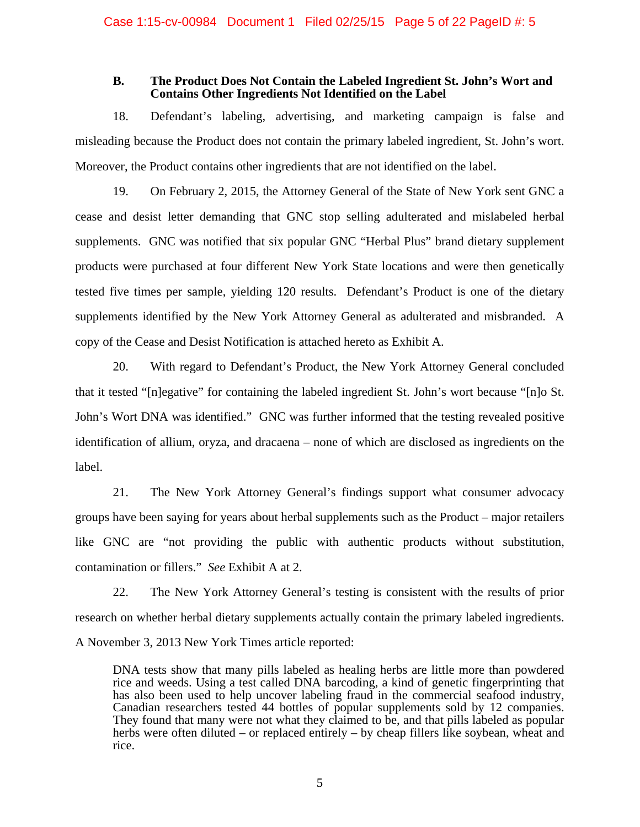#### **B. The Product Does Not Contain the Labeled Ingredient St. John's Wort and Contains Other Ingredients Not Identified on the Label**

18. Defendant's labeling, advertising, and marketing campaign is false and misleading because the Product does not contain the primary labeled ingredient, St. John's wort. Moreover, the Product contains other ingredients that are not identified on the label.

19. On February 2, 2015, the Attorney General of the State of New York sent GNC a cease and desist letter demanding that GNC stop selling adulterated and mislabeled herbal supplements. GNC was notified that six popular GNC "Herbal Plus" brand dietary supplement products were purchased at four different New York State locations and were then genetically tested five times per sample, yielding 120 results. Defendant's Product is one of the dietary supplements identified by the New York Attorney General as adulterated and misbranded. A copy of the Cease and Desist Notification is attached hereto as Exhibit A.

20. With regard to Defendant's Product, the New York Attorney General concluded that it tested "[n]egative" for containing the labeled ingredient St. John's wort because "[n]o St. John's Wort DNA was identified." GNC was further informed that the testing revealed positive identification of allium, oryza, and dracaena – none of which are disclosed as ingredients on the label.

21. The New York Attorney General's findings support what consumer advocacy groups have been saying for years about herbal supplements such as the Product – major retailers like GNC are "not providing the public with authentic products without substitution, contamination or fillers." *See* Exhibit A at 2.

22. The New York Attorney General's testing is consistent with the results of prior research on whether herbal dietary supplements actually contain the primary labeled ingredients. A November 3, 2013 New York Times article reported:

DNA tests show that many pills labeled as healing herbs are little more than powdered rice and weeds. Using a test called DNA barcoding, a kind of genetic fingerprinting that has also been used to help uncover labeling fraud in the commercial seafood industry, Canadian researchers tested 44 bottles of popular supplements sold by 12 companies. They found that many were not what they claimed to be, and that pills labeled as popular herbs were often diluted – or replaced entirely – by cheap fillers like soybean, wheat and rice.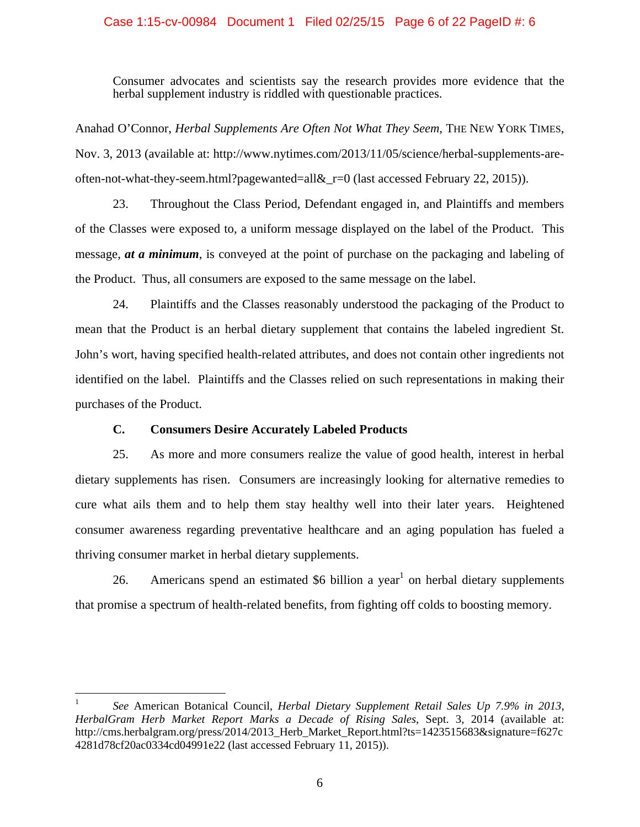# Case 1:15-cv-00984 Document 1 Filed 02/25/15 Page 6 of 22 PageID #: 6

Consumer advocates and scientists say the research provides more evidence that the herbal supplement industry is riddled with questionable practices.

Anahad O'Connor, *Herbal Supplements Are Often Not What They Seem*, THE NEW YORK TIMES, Nov. 3, 2013 (available at: http://www.nytimes.com/2013/11/05/science/herbal-supplements-areoften-not-what-they-seem.html?pagewanted=all&\_r=0 (last accessed February 22, 2015)).

23. Throughout the Class Period, Defendant engaged in, and Plaintiffs and members of the Classes were exposed to, a uniform message displayed on the label of the Product. This message, *at a minimum*, is conveyed at the point of purchase on the packaging and labeling of the Product. Thus, all consumers are exposed to the same message on the label.

24. Plaintiffs and the Classes reasonably understood the packaging of the Product to mean that the Product is an herbal dietary supplement that contains the labeled ingredient St. John's wort, having specified health-related attributes, and does not contain other ingredients not identified on the label. Plaintiffs and the Classes relied on such representations in making their purchases of the Product.

# **C. Consumers Desire Accurately Labeled Products**

 $\overline{a}$ 

25. As more and more consumers realize the value of good health, interest in herbal dietary supplements has risen. Consumers are increasingly looking for alternative remedies to cure what ails them and to help them stay healthy well into their later years. Heightened consumer awareness regarding preventative healthcare and an aging population has fueled a thriving consumer market in herbal dietary supplements.

26. Americans spend an estimated  $$6$  billion a year<sup>1</sup> on herbal dietary supplements that promise a spectrum of health-related benefits, from fighting off colds to boosting memory.

<sup>1</sup> *See* American Botanical Council, *Herbal Dietary Supplement Retail Sales Up 7.9% in 2013, HerbalGram Herb Market Report Marks a Decade of Rising Sales*, Sept. 3, 2014 (available at: http://cms.herbalgram.org/press/2014/2013 Herb\_Market\_Report.html?ts=1423515683&signature=f627c 4281d78cf20ac0334cd04991e22 (last accessed February 11, 2015)).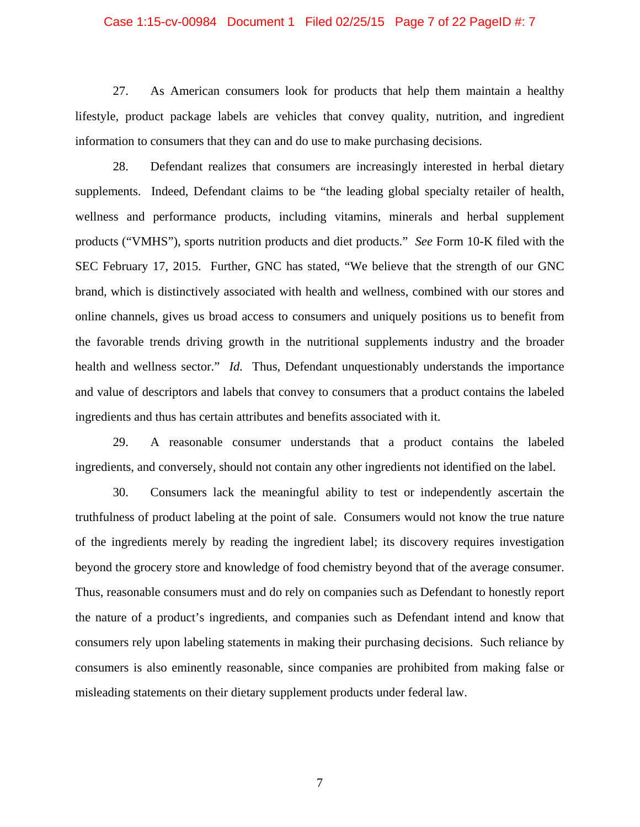#### Case 1:15-cv-00984 Document 1 Filed 02/25/15 Page 7 of 22 PageID #: 7

27. As American consumers look for products that help them maintain a healthy lifestyle, product package labels are vehicles that convey quality, nutrition, and ingredient information to consumers that they can and do use to make purchasing decisions.

28. Defendant realizes that consumers are increasingly interested in herbal dietary supplements. Indeed, Defendant claims to be "the leading global specialty retailer of health, wellness and performance products, including vitamins, minerals and herbal supplement products ("VMHS"), sports nutrition products and diet products." *See* Form 10-K filed with the SEC February 17, 2015. Further, GNC has stated, "We believe that the strength of our GNC brand, which is distinctively associated with health and wellness, combined with our stores and online channels, gives us broad access to consumers and uniquely positions us to benefit from the favorable trends driving growth in the nutritional supplements industry and the broader health and wellness sector." *Id.* Thus, Defendant unquestionably understands the importance and value of descriptors and labels that convey to consumers that a product contains the labeled ingredients and thus has certain attributes and benefits associated with it.

29. A reasonable consumer understands that a product contains the labeled ingredients, and conversely, should not contain any other ingredients not identified on the label.

30. Consumers lack the meaningful ability to test or independently ascertain the truthfulness of product labeling at the point of sale. Consumers would not know the true nature of the ingredients merely by reading the ingredient label; its discovery requires investigation beyond the grocery store and knowledge of food chemistry beyond that of the average consumer. Thus, reasonable consumers must and do rely on companies such as Defendant to honestly report the nature of a product's ingredients, and companies such as Defendant intend and know that consumers rely upon labeling statements in making their purchasing decisions. Such reliance by consumers is also eminently reasonable, since companies are prohibited from making false or misleading statements on their dietary supplement products under federal law.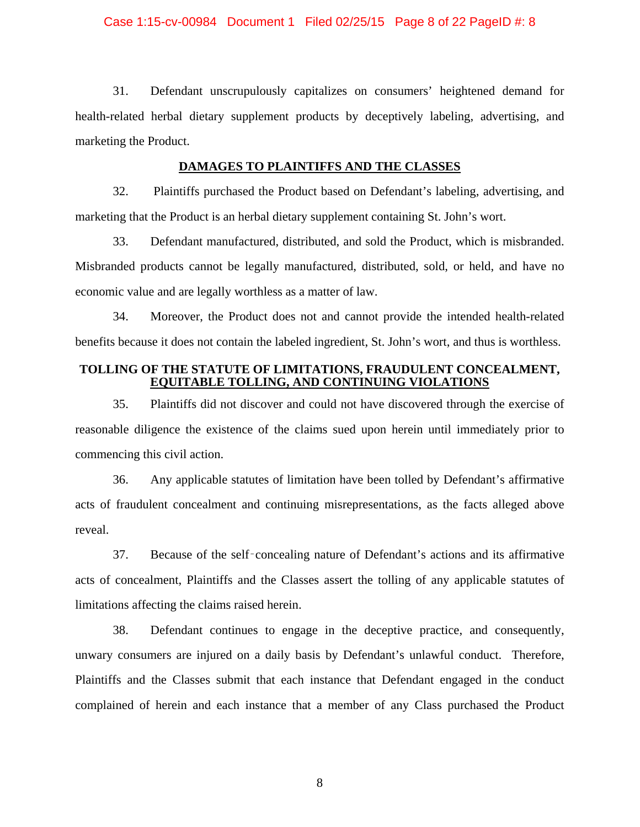#### Case 1:15-cv-00984 Document 1 Filed 02/25/15 Page 8 of 22 PageID #: 8

31. Defendant unscrupulously capitalizes on consumers' heightened demand for health-related herbal dietary supplement products by deceptively labeling, advertising, and marketing the Product.

# **DAMAGES TO PLAINTIFFS AND THE CLASSES**

32. Plaintiffs purchased the Product based on Defendant's labeling, advertising, and marketing that the Product is an herbal dietary supplement containing St. John's wort.

33. Defendant manufactured, distributed, and sold the Product, which is misbranded. Misbranded products cannot be legally manufactured, distributed, sold, or held, and have no economic value and are legally worthless as a matter of law.

34. Moreover, the Product does not and cannot provide the intended health-related benefits because it does not contain the labeled ingredient, St. John's wort, and thus is worthless.

# **TOLLING OF THE STATUTE OF LIMITATIONS, FRAUDULENT CONCEALMENT, EQUITABLE TOLLING, AND CONTINUING VIOLATIONS**

35. Plaintiffs did not discover and could not have discovered through the exercise of reasonable diligence the existence of the claims sued upon herein until immediately prior to commencing this civil action.

36. Any applicable statutes of limitation have been tolled by Defendant's affirmative acts of fraudulent concealment and continuing misrepresentations, as the facts alleged above reveal.

37. Because of the self‑concealing nature of Defendant's actions and its affirmative acts of concealment, Plaintiffs and the Classes assert the tolling of any applicable statutes of limitations affecting the claims raised herein.

38. Defendant continues to engage in the deceptive practice, and consequently, unwary consumers are injured on a daily basis by Defendant's unlawful conduct. Therefore, Plaintiffs and the Classes submit that each instance that Defendant engaged in the conduct complained of herein and each instance that a member of any Class purchased the Product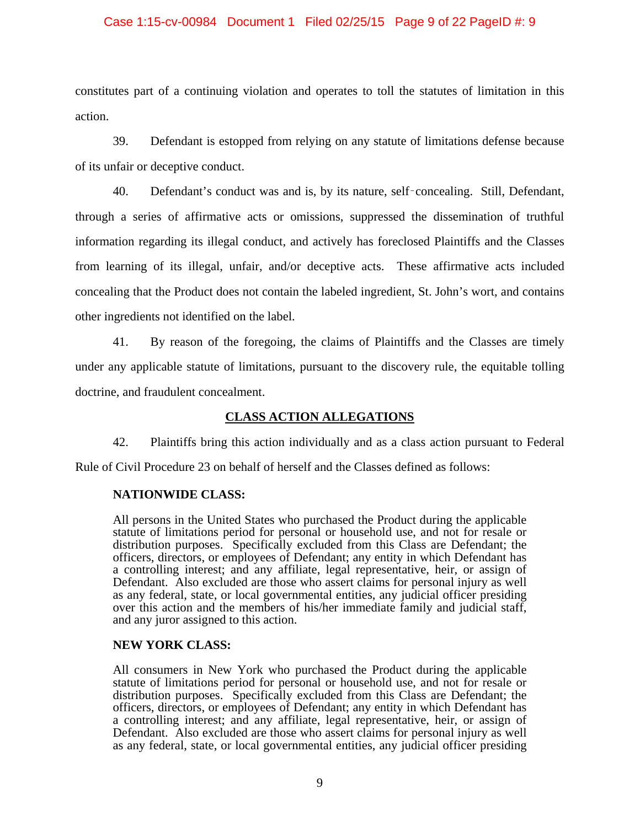# Case 1:15-cv-00984 Document 1 Filed 02/25/15 Page 9 of 22 PageID #: 9

constitutes part of a continuing violation and operates to toll the statutes of limitation in this action.

39. Defendant is estopped from relying on any statute of limitations defense because of its unfair or deceptive conduct.

40. Defendant's conduct was and is, by its nature, self‑concealing. Still, Defendant, through a series of affirmative acts or omissions, suppressed the dissemination of truthful information regarding its illegal conduct, and actively has foreclosed Plaintiffs and the Classes from learning of its illegal, unfair, and/or deceptive acts. These affirmative acts included concealing that the Product does not contain the labeled ingredient, St. John's wort, and contains other ingredients not identified on the label.

41. By reason of the foregoing, the claims of Plaintiffs and the Classes are timely under any applicable statute of limitations, pursuant to the discovery rule, the equitable tolling doctrine, and fraudulent concealment.

# **CLASS ACTION ALLEGATIONS**

42. Plaintiffs bring this action individually and as a class action pursuant to Federal

Rule of Civil Procedure 23 on behalf of herself and the Classes defined as follows:

# **NATIONWIDE CLASS:**

All persons in the United States who purchased the Product during the applicable statute of limitations period for personal or household use, and not for resale or distribution purposes. Specifically excluded from this Class are Defendant; the officers, directors, or employees of Defendant; any entity in which Defendant has a controlling interest; and any affiliate, legal representative, heir, or assign of Defendant. Also excluded are those who assert claims for personal injury as well as any federal, state, or local governmental entities, any judicial officer presiding over this action and the members of his/her immediate family and judicial staff, and any juror assigned to this action.

# **NEW YORK CLASS:**

All consumers in New York who purchased the Product during the applicable statute of limitations period for personal or household use, and not for resale or distribution purposes. Specifically excluded from this Class are Defendant; the officers, directors, or employees of Defendant; any entity in which Defendant has a controlling interest; and any affiliate, legal representative, heir, or assign of Defendant. Also excluded are those who assert claims for personal injury as well as any federal, state, or local governmental entities, any judicial officer presiding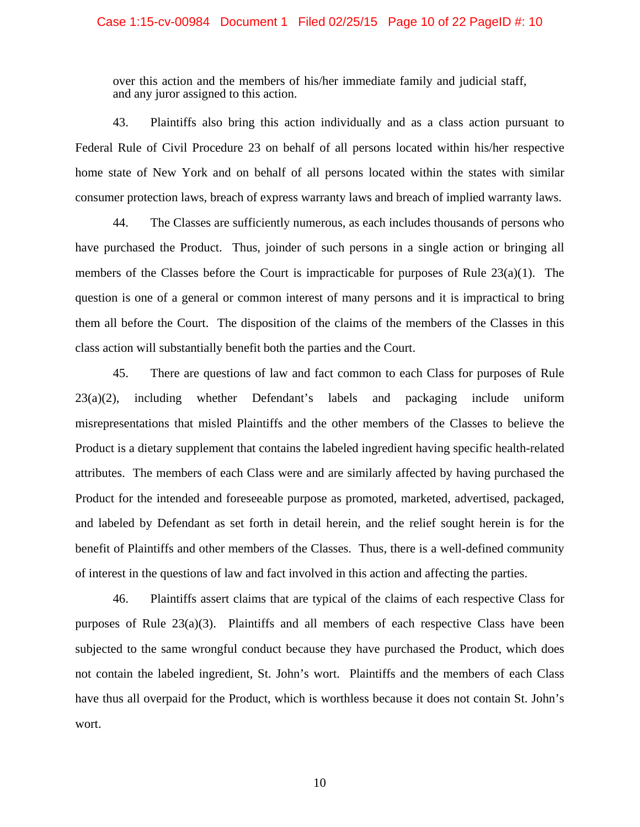#### Case 1:15-cv-00984 Document 1 Filed 02/25/15 Page 10 of 22 PageID #: 10

over this action and the members of his/her immediate family and judicial staff, and any juror assigned to this action.

43. Plaintiffs also bring this action individually and as a class action pursuant to Federal Rule of Civil Procedure 23 on behalf of all persons located within his/her respective home state of New York and on behalf of all persons located within the states with similar consumer protection laws, breach of express warranty laws and breach of implied warranty laws.

44. The Classes are sufficiently numerous, as each includes thousands of persons who have purchased the Product. Thus, joinder of such persons in a single action or bringing all members of the Classes before the Court is impracticable for purposes of Rule  $23(a)(1)$ . The question is one of a general or common interest of many persons and it is impractical to bring them all before the Court. The disposition of the claims of the members of the Classes in this class action will substantially benefit both the parties and the Court.

45. There are questions of law and fact common to each Class for purposes of Rule  $23(a)(2)$ , including whether Defendant's labels and packaging include uniform misrepresentations that misled Plaintiffs and the other members of the Classes to believe the Product is a dietary supplement that contains the labeled ingredient having specific health-related attributes. The members of each Class were and are similarly affected by having purchased the Product for the intended and foreseeable purpose as promoted, marketed, advertised, packaged, and labeled by Defendant as set forth in detail herein, and the relief sought herein is for the benefit of Plaintiffs and other members of the Classes. Thus, there is a well-defined community of interest in the questions of law and fact involved in this action and affecting the parties.

46. Plaintiffs assert claims that are typical of the claims of each respective Class for purposes of Rule 23(a)(3). Plaintiffs and all members of each respective Class have been subjected to the same wrongful conduct because they have purchased the Product, which does not contain the labeled ingredient, St. John's wort. Plaintiffs and the members of each Class have thus all overpaid for the Product, which is worthless because it does not contain St. John's wort.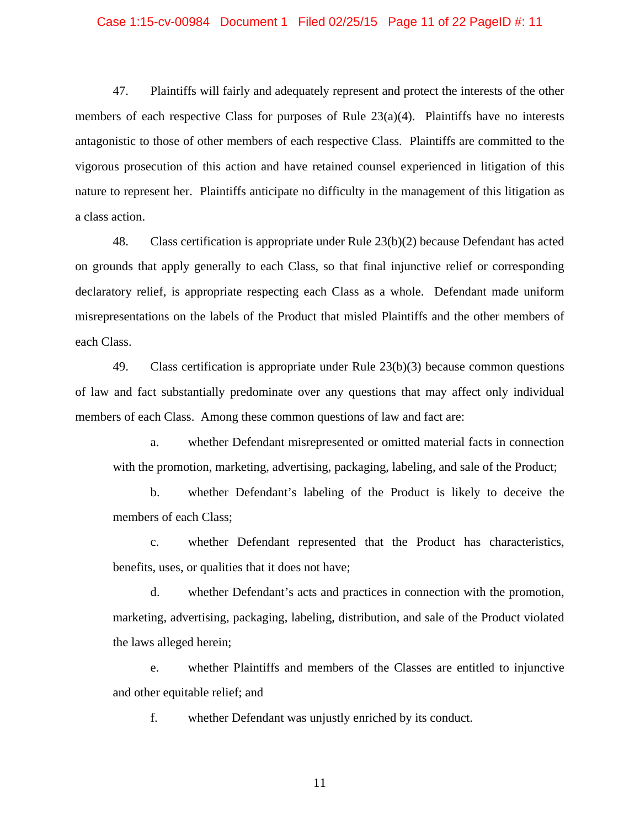#### Case 1:15-cv-00984 Document 1 Filed 02/25/15 Page 11 of 22 PageID #: 11

47. Plaintiffs will fairly and adequately represent and protect the interests of the other members of each respective Class for purposes of Rule  $23(a)(4)$ . Plaintiffs have no interests antagonistic to those of other members of each respective Class. Plaintiffs are committed to the vigorous prosecution of this action and have retained counsel experienced in litigation of this nature to represent her. Plaintiffs anticipate no difficulty in the management of this litigation as a class action.

48. Class certification is appropriate under Rule 23(b)(2) because Defendant has acted on grounds that apply generally to each Class, so that final injunctive relief or corresponding declaratory relief, is appropriate respecting each Class as a whole. Defendant made uniform misrepresentations on the labels of the Product that misled Plaintiffs and the other members of each Class.

49. Class certification is appropriate under Rule 23(b)(3) because common questions of law and fact substantially predominate over any questions that may affect only individual members of each Class. Among these common questions of law and fact are:

a. whether Defendant misrepresented or omitted material facts in connection with the promotion, marketing, advertising, packaging, labeling, and sale of the Product;

b. whether Defendant's labeling of the Product is likely to deceive the members of each Class;

c. whether Defendant represented that the Product has characteristics, benefits, uses, or qualities that it does not have;

d. whether Defendant's acts and practices in connection with the promotion, marketing, advertising, packaging, labeling, distribution, and sale of the Product violated the laws alleged herein;

e. whether Plaintiffs and members of the Classes are entitled to injunctive and other equitable relief; and

f. whether Defendant was unjustly enriched by its conduct.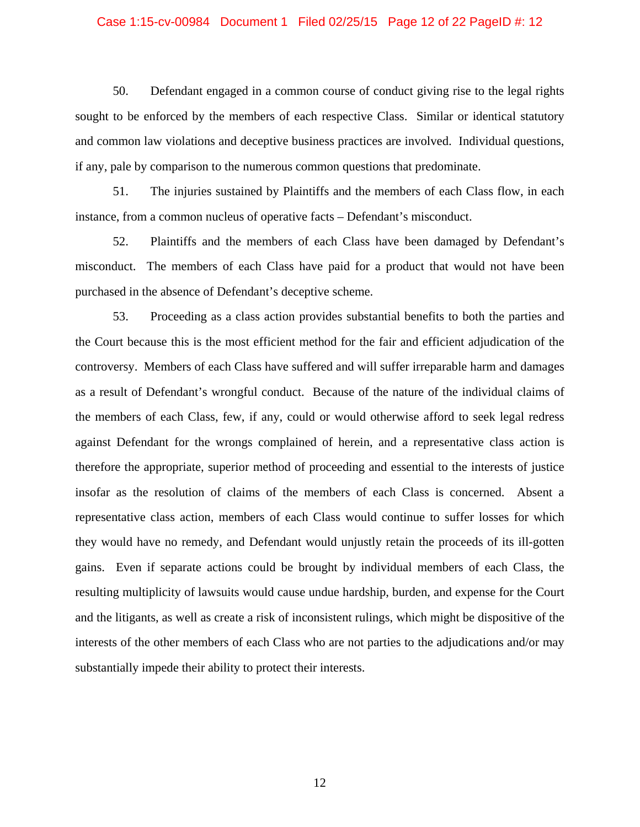# Case 1:15-cv-00984 Document 1 Filed 02/25/15 Page 12 of 22 PageID #: 12

50. Defendant engaged in a common course of conduct giving rise to the legal rights sought to be enforced by the members of each respective Class. Similar or identical statutory and common law violations and deceptive business practices are involved. Individual questions, if any, pale by comparison to the numerous common questions that predominate.

51. The injuries sustained by Plaintiffs and the members of each Class flow, in each instance, from a common nucleus of operative facts – Defendant's misconduct.

52. Plaintiffs and the members of each Class have been damaged by Defendant's misconduct. The members of each Class have paid for a product that would not have been purchased in the absence of Defendant's deceptive scheme.

53. Proceeding as a class action provides substantial benefits to both the parties and the Court because this is the most efficient method for the fair and efficient adjudication of the controversy. Members of each Class have suffered and will suffer irreparable harm and damages as a result of Defendant's wrongful conduct. Because of the nature of the individual claims of the members of each Class, few, if any, could or would otherwise afford to seek legal redress against Defendant for the wrongs complained of herein, and a representative class action is therefore the appropriate, superior method of proceeding and essential to the interests of justice insofar as the resolution of claims of the members of each Class is concerned. Absent a representative class action, members of each Class would continue to suffer losses for which they would have no remedy, and Defendant would unjustly retain the proceeds of its ill-gotten gains. Even if separate actions could be brought by individual members of each Class, the resulting multiplicity of lawsuits would cause undue hardship, burden, and expense for the Court and the litigants, as well as create a risk of inconsistent rulings, which might be dispositive of the interests of the other members of each Class who are not parties to the adjudications and/or may substantially impede their ability to protect their interests.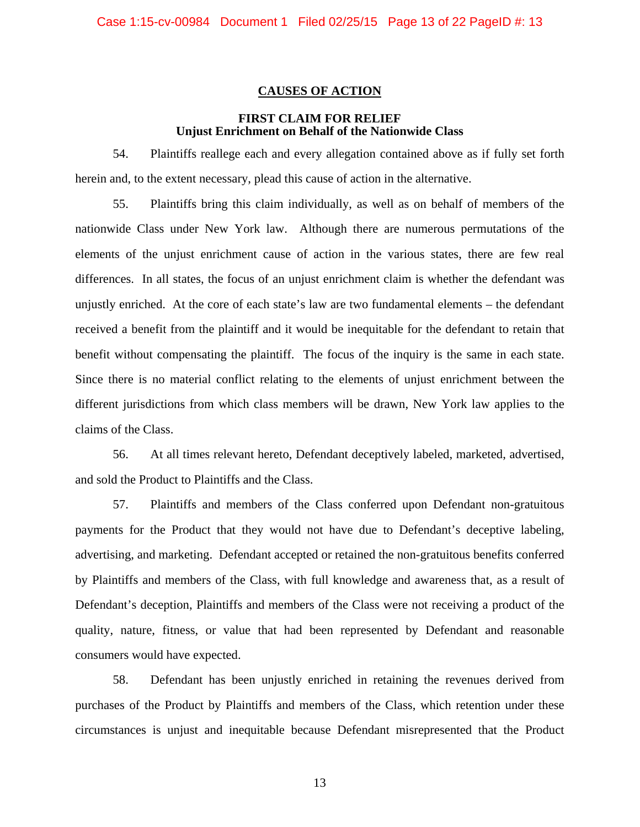# **CAUSES OF ACTION**

# **FIRST CLAIM FOR RELIEF Unjust Enrichment on Behalf of the Nationwide Class**

54. Plaintiffs reallege each and every allegation contained above as if fully set forth herein and, to the extent necessary, plead this cause of action in the alternative.

55. Plaintiffs bring this claim individually, as well as on behalf of members of the nationwide Class under New York law. Although there are numerous permutations of the elements of the unjust enrichment cause of action in the various states, there are few real differences. In all states, the focus of an unjust enrichment claim is whether the defendant was unjustly enriched. At the core of each state's law are two fundamental elements – the defendant received a benefit from the plaintiff and it would be inequitable for the defendant to retain that benefit without compensating the plaintiff. The focus of the inquiry is the same in each state. Since there is no material conflict relating to the elements of unjust enrichment between the different jurisdictions from which class members will be drawn, New York law applies to the claims of the Class.

56. At all times relevant hereto, Defendant deceptively labeled, marketed, advertised, and sold the Product to Plaintiffs and the Class.

57. Plaintiffs and members of the Class conferred upon Defendant non-gratuitous payments for the Product that they would not have due to Defendant's deceptive labeling, advertising, and marketing. Defendant accepted or retained the non-gratuitous benefits conferred by Plaintiffs and members of the Class, with full knowledge and awareness that, as a result of Defendant's deception, Plaintiffs and members of the Class were not receiving a product of the quality, nature, fitness, or value that had been represented by Defendant and reasonable consumers would have expected.

58. Defendant has been unjustly enriched in retaining the revenues derived from purchases of the Product by Plaintiffs and members of the Class, which retention under these circumstances is unjust and inequitable because Defendant misrepresented that the Product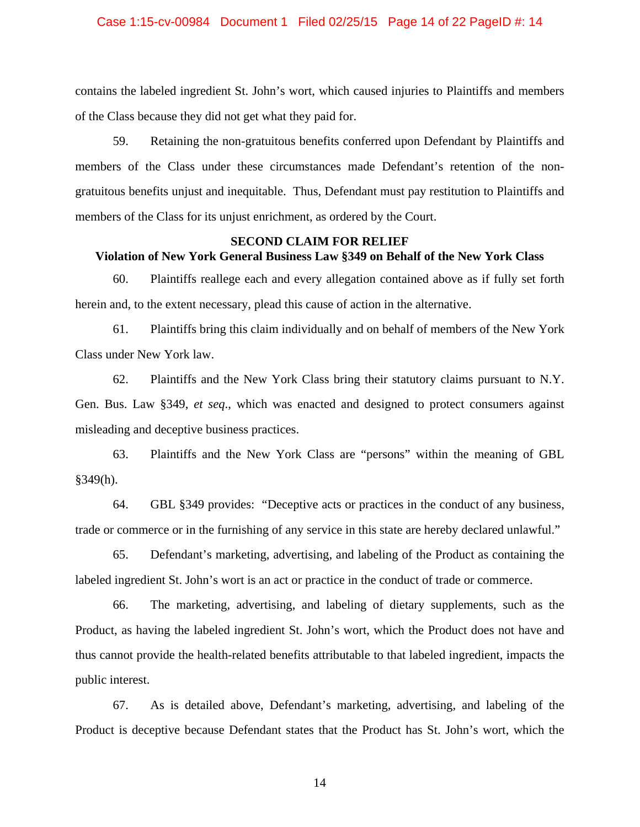#### Case 1:15-cv-00984 Document 1 Filed 02/25/15 Page 14 of 22 PageID #: 14

contains the labeled ingredient St. John's wort, which caused injuries to Plaintiffs and members of the Class because they did not get what they paid for.

59. Retaining the non-gratuitous benefits conferred upon Defendant by Plaintiffs and members of the Class under these circumstances made Defendant's retention of the nongratuitous benefits unjust and inequitable. Thus, Defendant must pay restitution to Plaintiffs and members of the Class for its unjust enrichment, as ordered by the Court.

# **SECOND CLAIM FOR RELIEF Violation of New York General Business Law §349 on Behalf of the New York Class**

60. Plaintiffs reallege each and every allegation contained above as if fully set forth herein and, to the extent necessary, plead this cause of action in the alternative.

61. Plaintiffs bring this claim individually and on behalf of members of the New York Class under New York law.

62. Plaintiffs and the New York Class bring their statutory claims pursuant to N.Y. Gen. Bus. Law §349, *et seq*., which was enacted and designed to protect consumers against misleading and deceptive business practices.

63. Plaintiffs and the New York Class are "persons" within the meaning of GBL §349(h).

64. GBL §349 provides: "Deceptive acts or practices in the conduct of any business, trade or commerce or in the furnishing of any service in this state are hereby declared unlawful."

65. Defendant's marketing, advertising, and labeling of the Product as containing the labeled ingredient St. John's wort is an act or practice in the conduct of trade or commerce.

66. The marketing, advertising, and labeling of dietary supplements, such as the Product, as having the labeled ingredient St. John's wort, which the Product does not have and thus cannot provide the health-related benefits attributable to that labeled ingredient, impacts the public interest.

67. As is detailed above, Defendant's marketing, advertising, and labeling of the Product is deceptive because Defendant states that the Product has St. John's wort, which the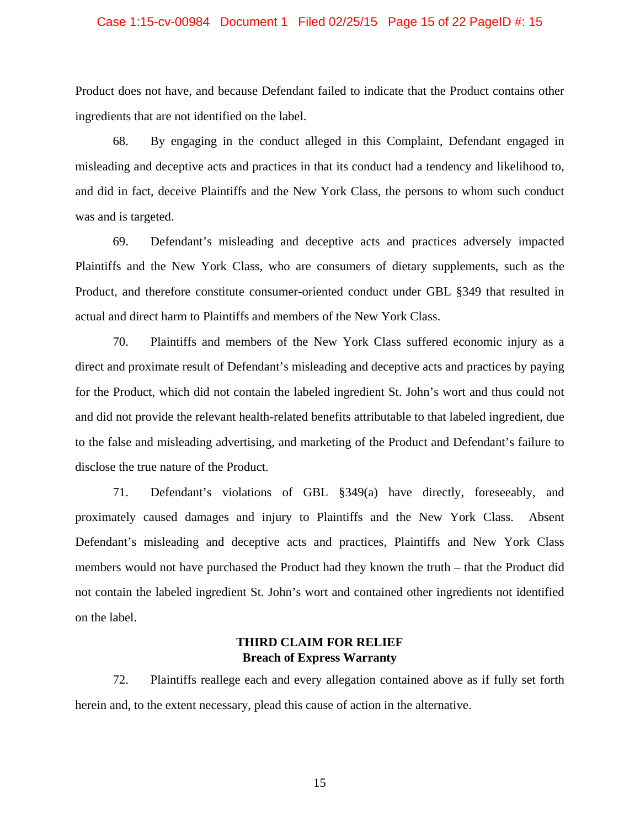#### Case 1:15-cv-00984 Document 1 Filed 02/25/15 Page 15 of 22 PageID #: 15

Product does not have, and because Defendant failed to indicate that the Product contains other ingredients that are not identified on the label.

68. By engaging in the conduct alleged in this Complaint, Defendant engaged in misleading and deceptive acts and practices in that its conduct had a tendency and likelihood to, and did in fact, deceive Plaintiffs and the New York Class, the persons to whom such conduct was and is targeted.

69. Defendant's misleading and deceptive acts and practices adversely impacted Plaintiffs and the New York Class, who are consumers of dietary supplements, such as the Product, and therefore constitute consumer-oriented conduct under GBL §349 that resulted in actual and direct harm to Plaintiffs and members of the New York Class.

70. Plaintiffs and members of the New York Class suffered economic injury as a direct and proximate result of Defendant's misleading and deceptive acts and practices by paying for the Product, which did not contain the labeled ingredient St. John's wort and thus could not and did not provide the relevant health-related benefits attributable to that labeled ingredient, due to the false and misleading advertising, and marketing of the Product and Defendant's failure to disclose the true nature of the Product.

71. Defendant's violations of GBL §349(a) have directly, foreseeably, and proximately caused damages and injury to Plaintiffs and the New York Class. Absent Defendant's misleading and deceptive acts and practices, Plaintiffs and New York Class members would not have purchased the Product had they known the truth – that the Product did not contain the labeled ingredient St. John's wort and contained other ingredients not identified on the label.

# **THIRD CLAIM FOR RELIEF Breach of Express Warranty**

72. Plaintiffs reallege each and every allegation contained above as if fully set forth herein and, to the extent necessary, plead this cause of action in the alternative.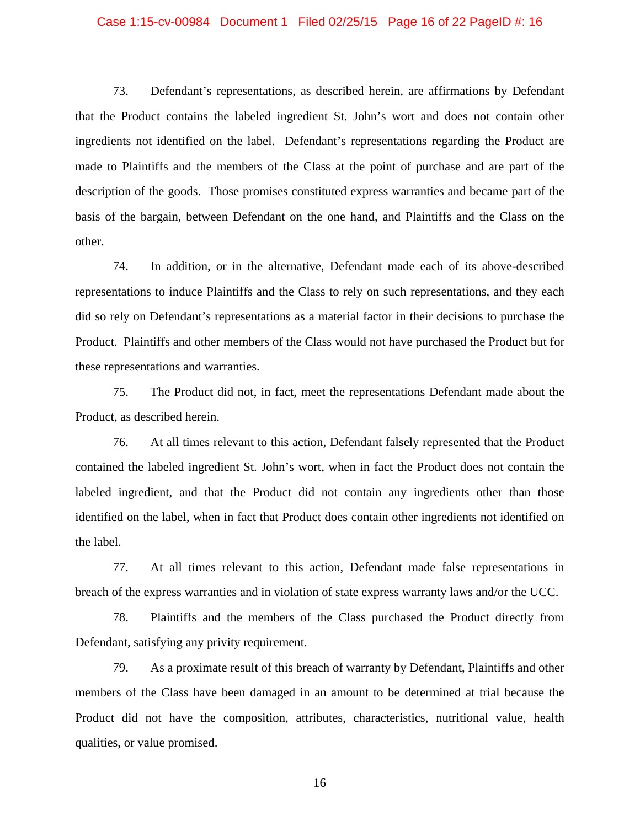#### Case 1:15-cv-00984 Document 1 Filed 02/25/15 Page 16 of 22 PageID #: 16

73. Defendant's representations, as described herein, are affirmations by Defendant that the Product contains the labeled ingredient St. John's wort and does not contain other ingredients not identified on the label. Defendant's representations regarding the Product are made to Plaintiffs and the members of the Class at the point of purchase and are part of the description of the goods. Those promises constituted express warranties and became part of the basis of the bargain, between Defendant on the one hand, and Plaintiffs and the Class on the other.

74. In addition, or in the alternative, Defendant made each of its above-described representations to induce Plaintiffs and the Class to rely on such representations, and they each did so rely on Defendant's representations as a material factor in their decisions to purchase the Product. Plaintiffs and other members of the Class would not have purchased the Product but for these representations and warranties.

75. The Product did not, in fact, meet the representations Defendant made about the Product, as described herein.

76. At all times relevant to this action, Defendant falsely represented that the Product contained the labeled ingredient St. John's wort, when in fact the Product does not contain the labeled ingredient, and that the Product did not contain any ingredients other than those identified on the label, when in fact that Product does contain other ingredients not identified on the label.

77. At all times relevant to this action, Defendant made false representations in breach of the express warranties and in violation of state express warranty laws and/or the UCC.

78. Plaintiffs and the members of the Class purchased the Product directly from Defendant, satisfying any privity requirement.

79. As a proximate result of this breach of warranty by Defendant, Plaintiffs and other members of the Class have been damaged in an amount to be determined at trial because the Product did not have the composition, attributes, characteristics, nutritional value, health qualities, or value promised.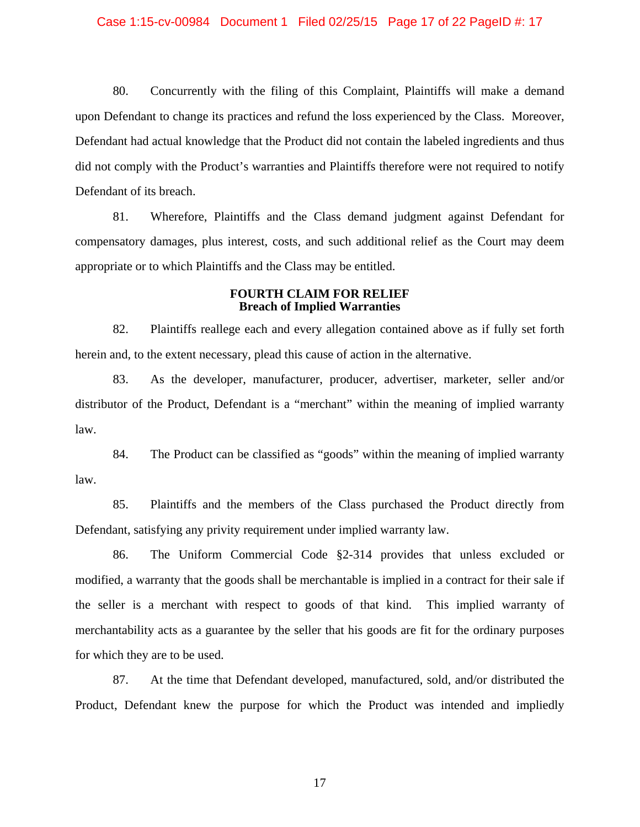#### Case 1:15-cv-00984 Document 1 Filed 02/25/15 Page 17 of 22 PageID #: 17

80. Concurrently with the filing of this Complaint, Plaintiffs will make a demand upon Defendant to change its practices and refund the loss experienced by the Class. Moreover, Defendant had actual knowledge that the Product did not contain the labeled ingredients and thus did not comply with the Product's warranties and Plaintiffs therefore were not required to notify Defendant of its breach.

81. Wherefore, Plaintiffs and the Class demand judgment against Defendant for compensatory damages, plus interest, costs, and such additional relief as the Court may deem appropriate or to which Plaintiffs and the Class may be entitled.

## **FOURTH CLAIM FOR RELIEF Breach of Implied Warranties**

82. Plaintiffs reallege each and every allegation contained above as if fully set forth herein and, to the extent necessary, plead this cause of action in the alternative.

83. As the developer, manufacturer, producer, advertiser, marketer, seller and/or distributor of the Product, Defendant is a "merchant" within the meaning of implied warranty law.

84. The Product can be classified as "goods" within the meaning of implied warranty law.

85. Plaintiffs and the members of the Class purchased the Product directly from Defendant, satisfying any privity requirement under implied warranty law.

86. The Uniform Commercial Code §2-314 provides that unless excluded or modified, a warranty that the goods shall be merchantable is implied in a contract for their sale if the seller is a merchant with respect to goods of that kind. This implied warranty of merchantability acts as a guarantee by the seller that his goods are fit for the ordinary purposes for which they are to be used.

87. At the time that Defendant developed, manufactured, sold, and/or distributed the Product, Defendant knew the purpose for which the Product was intended and impliedly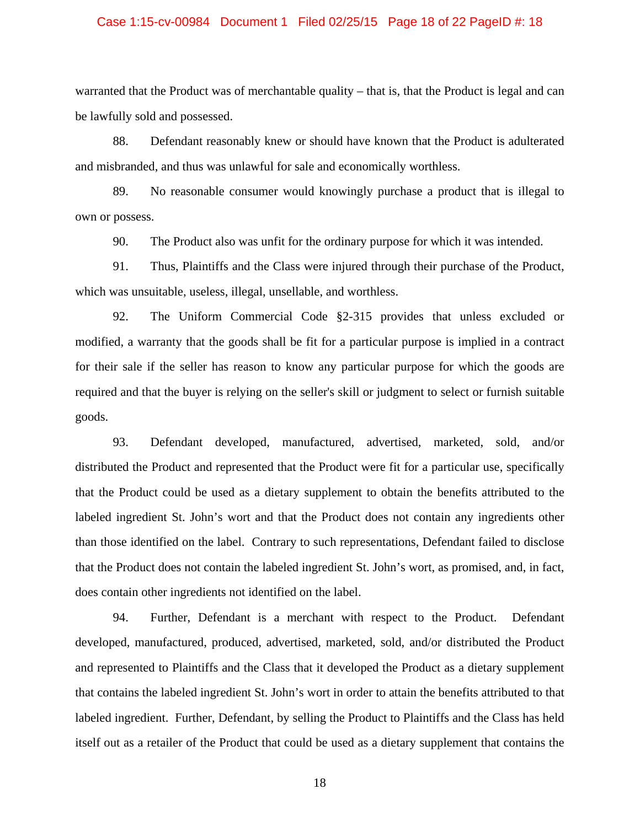#### Case 1:15-cv-00984 Document 1 Filed 02/25/15 Page 18 of 22 PageID #: 18

warranted that the Product was of merchantable quality – that is, that the Product is legal and can be lawfully sold and possessed.

88. Defendant reasonably knew or should have known that the Product is adulterated and misbranded, and thus was unlawful for sale and economically worthless.

89. No reasonable consumer would knowingly purchase a product that is illegal to own or possess.

90. The Product also was unfit for the ordinary purpose for which it was intended.

91. Thus, Plaintiffs and the Class were injured through their purchase of the Product, which was unsuitable, useless, illegal, unsellable, and worthless.

92. The Uniform Commercial Code §2-315 provides that unless excluded or modified, a warranty that the goods shall be fit for a particular purpose is implied in a contract for their sale if the seller has reason to know any particular purpose for which the goods are required and that the buyer is relying on the seller's skill or judgment to select or furnish suitable goods.

93. Defendant developed, manufactured, advertised, marketed, sold, and/or distributed the Product and represented that the Product were fit for a particular use, specifically that the Product could be used as a dietary supplement to obtain the benefits attributed to the labeled ingredient St. John's wort and that the Product does not contain any ingredients other than those identified on the label. Contrary to such representations, Defendant failed to disclose that the Product does not contain the labeled ingredient St. John's wort, as promised, and, in fact, does contain other ingredients not identified on the label.

94. Further, Defendant is a merchant with respect to the Product. Defendant developed, manufactured, produced, advertised, marketed, sold, and/or distributed the Product and represented to Plaintiffs and the Class that it developed the Product as a dietary supplement that contains the labeled ingredient St. John's wort in order to attain the benefits attributed to that labeled ingredient. Further, Defendant, by selling the Product to Plaintiffs and the Class has held itself out as a retailer of the Product that could be used as a dietary supplement that contains the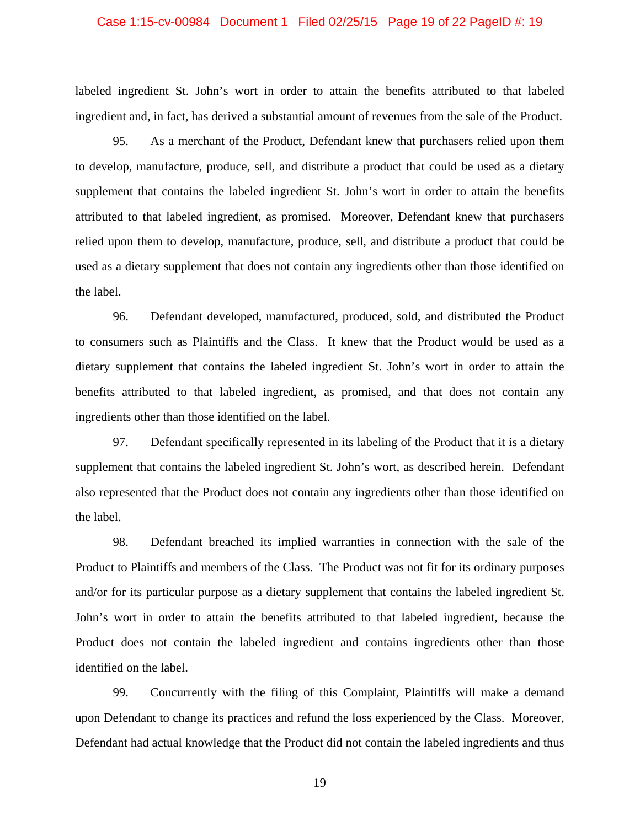#### Case 1:15-cv-00984 Document 1 Filed 02/25/15 Page 19 of 22 PageID #: 19

labeled ingredient St. John's wort in order to attain the benefits attributed to that labeled ingredient and, in fact, has derived a substantial amount of revenues from the sale of the Product.

95. As a merchant of the Product, Defendant knew that purchasers relied upon them to develop, manufacture, produce, sell, and distribute a product that could be used as a dietary supplement that contains the labeled ingredient St. John's wort in order to attain the benefits attributed to that labeled ingredient, as promised. Moreover, Defendant knew that purchasers relied upon them to develop, manufacture, produce, sell, and distribute a product that could be used as a dietary supplement that does not contain any ingredients other than those identified on the label.

96. Defendant developed, manufactured, produced, sold, and distributed the Product to consumers such as Plaintiffs and the Class. It knew that the Product would be used as a dietary supplement that contains the labeled ingredient St. John's wort in order to attain the benefits attributed to that labeled ingredient, as promised, and that does not contain any ingredients other than those identified on the label.

97. Defendant specifically represented in its labeling of the Product that it is a dietary supplement that contains the labeled ingredient St. John's wort, as described herein. Defendant also represented that the Product does not contain any ingredients other than those identified on the label.

98. Defendant breached its implied warranties in connection with the sale of the Product to Plaintiffs and members of the Class. The Product was not fit for its ordinary purposes and/or for its particular purpose as a dietary supplement that contains the labeled ingredient St. John's wort in order to attain the benefits attributed to that labeled ingredient, because the Product does not contain the labeled ingredient and contains ingredients other than those identified on the label.

99. Concurrently with the filing of this Complaint, Plaintiffs will make a demand upon Defendant to change its practices and refund the loss experienced by the Class. Moreover, Defendant had actual knowledge that the Product did not contain the labeled ingredients and thus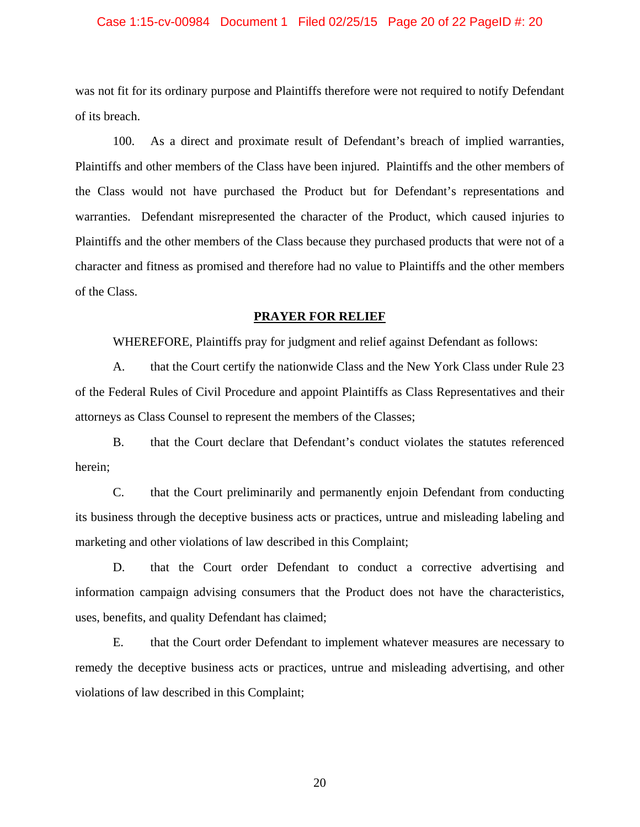#### Case 1:15-cv-00984 Document 1 Filed 02/25/15 Page 20 of 22 PageID #: 20

was not fit for its ordinary purpose and Plaintiffs therefore were not required to notify Defendant of its breach.

100. As a direct and proximate result of Defendant's breach of implied warranties, Plaintiffs and other members of the Class have been injured. Plaintiffs and the other members of the Class would not have purchased the Product but for Defendant's representations and warranties. Defendant misrepresented the character of the Product, which caused injuries to Plaintiffs and the other members of the Class because they purchased products that were not of a character and fitness as promised and therefore had no value to Plaintiffs and the other members of the Class.

#### **PRAYER FOR RELIEF**

WHEREFORE, Plaintiffs pray for judgment and relief against Defendant as follows:

A. that the Court certify the nationwide Class and the New York Class under Rule 23 of the Federal Rules of Civil Procedure and appoint Plaintiffs as Class Representatives and their attorneys as Class Counsel to represent the members of the Classes;

B. that the Court declare that Defendant's conduct violates the statutes referenced herein;

C. that the Court preliminarily and permanently enjoin Defendant from conducting its business through the deceptive business acts or practices, untrue and misleading labeling and marketing and other violations of law described in this Complaint;

D. that the Court order Defendant to conduct a corrective advertising and information campaign advising consumers that the Product does not have the characteristics, uses, benefits, and quality Defendant has claimed;

E. that the Court order Defendant to implement whatever measures are necessary to remedy the deceptive business acts or practices, untrue and misleading advertising, and other violations of law described in this Complaint;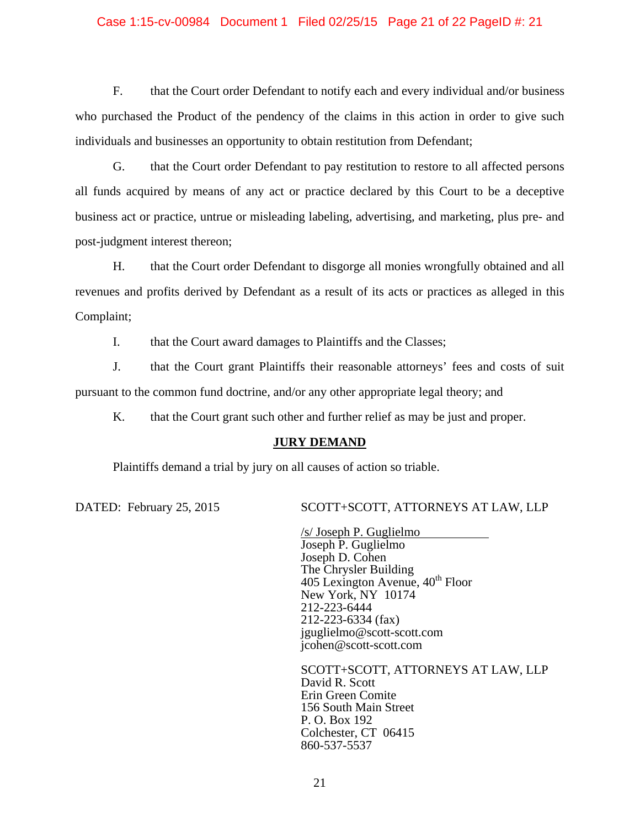### Case 1:15-cv-00984 Document 1 Filed 02/25/15 Page 21 of 22 PageID #: 21

F. that the Court order Defendant to notify each and every individual and/or business who purchased the Product of the pendency of the claims in this action in order to give such individuals and businesses an opportunity to obtain restitution from Defendant;

G. that the Court order Defendant to pay restitution to restore to all affected persons all funds acquired by means of any act or practice declared by this Court to be a deceptive business act or practice, untrue or misleading labeling, advertising, and marketing, plus pre- and post-judgment interest thereon;

H. that the Court order Defendant to disgorge all monies wrongfully obtained and all revenues and profits derived by Defendant as a result of its acts or practices as alleged in this Complaint;

I. that the Court award damages to Plaintiffs and the Classes;

J. that the Court grant Plaintiffs their reasonable attorneys' fees and costs of suit pursuant to the common fund doctrine, and/or any other appropriate legal theory; and

K. that the Court grant such other and further relief as may be just and proper.

# **JURY DEMAND**

Plaintiffs demand a trial by jury on all causes of action so triable.

DATED: February 25, 2015 SCOTT+SCOTT, ATTORNEYS AT LAW, LLP

 /s/ Joseph P. Guglielmo Joseph P. Guglielmo Joseph D. Cohen The Chrysler Building 405 Lexington Avenue, 40<sup>th</sup> Floor New York, NY 10174 212-223-6444 212-223-6334 (fax) jguglielmo@scott-scott.com jcohen@scott-scott.com

 SCOTT+SCOTT, ATTORNEYS AT LAW, LLP David R. Scott Erin Green Comite 156 South Main Street P. O. Box 192 Colchester, CT 06415 860-537-5537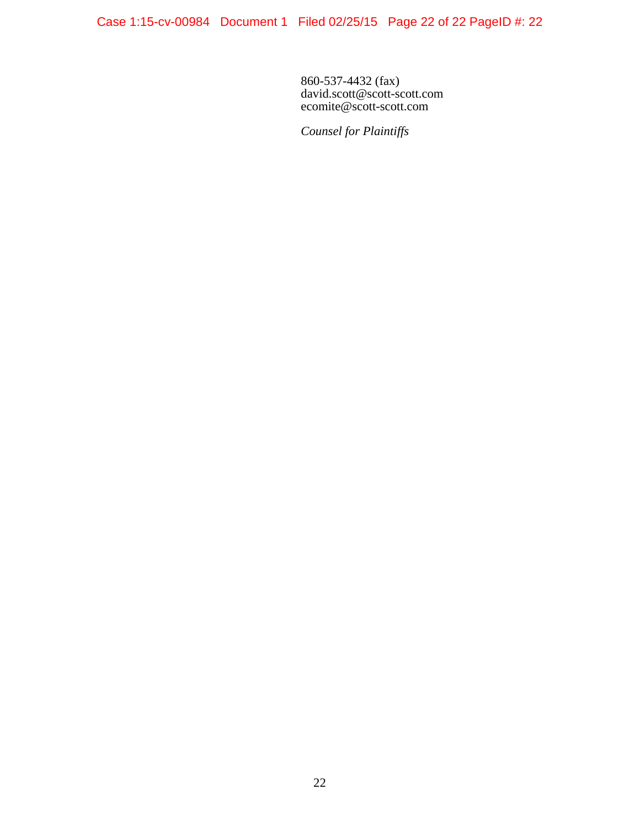860-537-4432 (fax) david.scott@scott-scott.com ecomite@scott-scott.com

*Counsel for Plaintiffs*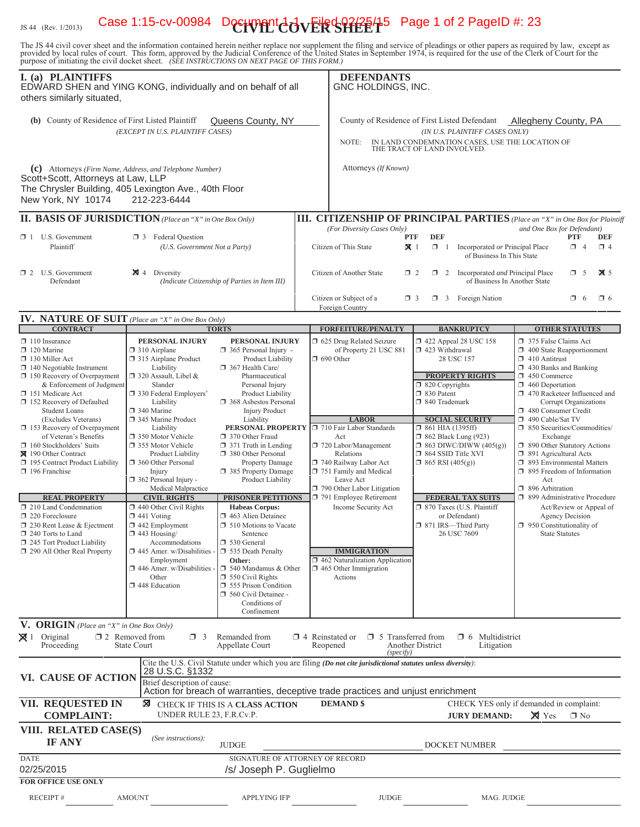# IS 44 (Rev. 1/2013) Case 1:15-cv-00984 Document 20 vERSHEET<sup>5</sup> Page 1 of 2 PageID #: 23

The JS 44 civil cover sheet and the information contained herein neither replace nor supplement the filing and service of pleadings or other papers as required by law, except as provided by local rules of court. This form,

| I. (a) PLAINTIFFS<br>EDWARD SHEN and YING KONG, individually and on behalf of all<br>others similarly situated,                                                                                                                                                                                                                                                                                                                                                                                                                                                                                                                             |                                                                                                                                                                                                                                                                                                                                                                                                                                                                                                                                                                                                                                    |                                                                                                                                                                                                                                                                                                                                                                                                                                                                                                                                                                                                                                                                                                                                  |                                      | <b>DEFENDANTS</b><br>GNC HOLDINGS, INC.                                                                                                                                                                                                                                                                                                                                                        |                              |                                                                                              |                                                                                                                                                                                                                                                                                                                                                             |                                                                                                                                                                                                                                                                                                                                                                                                                                                                                                                                                         |                                                                     |                           |
|---------------------------------------------------------------------------------------------------------------------------------------------------------------------------------------------------------------------------------------------------------------------------------------------------------------------------------------------------------------------------------------------------------------------------------------------------------------------------------------------------------------------------------------------------------------------------------------------------------------------------------------------|------------------------------------------------------------------------------------------------------------------------------------------------------------------------------------------------------------------------------------------------------------------------------------------------------------------------------------------------------------------------------------------------------------------------------------------------------------------------------------------------------------------------------------------------------------------------------------------------------------------------------------|----------------------------------------------------------------------------------------------------------------------------------------------------------------------------------------------------------------------------------------------------------------------------------------------------------------------------------------------------------------------------------------------------------------------------------------------------------------------------------------------------------------------------------------------------------------------------------------------------------------------------------------------------------------------------------------------------------------------------------|--------------------------------------|------------------------------------------------------------------------------------------------------------------------------------------------------------------------------------------------------------------------------------------------------------------------------------------------------------------------------------------------------------------------------------------------|------------------------------|----------------------------------------------------------------------------------------------|-------------------------------------------------------------------------------------------------------------------------------------------------------------------------------------------------------------------------------------------------------------------------------------------------------------------------------------------------------------|---------------------------------------------------------------------------------------------------------------------------------------------------------------------------------------------------------------------------------------------------------------------------------------------------------------------------------------------------------------------------------------------------------------------------------------------------------------------------------------------------------------------------------------------------------|---------------------------------------------------------------------|---------------------------|
| (b) County of Residence of First Listed Plaintiff<br>Queens County, NY<br>(EXCEPT IN U.S. PLAINTIFF CASES)                                                                                                                                                                                                                                                                                                                                                                                                                                                                                                                                  |                                                                                                                                                                                                                                                                                                                                                                                                                                                                                                                                                                                                                                    |                                                                                                                                                                                                                                                                                                                                                                                                                                                                                                                                                                                                                                                                                                                                  |                                      | County of Residence of First Listed Defendant<br><b>Allegheny County, PA</b><br>(IN U.S. PLAINTIFF CASES ONLY)<br>IN LAND CONDEMNATION CASES, USE THE LOCATION OF<br>NOTE:<br>THE TRACT OF LAND INVOLVED.                                                                                                                                                                                      |                              |                                                                                              |                                                                                                                                                                                                                                                                                                                                                             |                                                                                                                                                                                                                                                                                                                                                                                                                                                                                                                                                         |                                                                     |                           |
| (c) Attorneys (Firm Name, Address, and Telephone Number)<br>Scott+Scott, Attorneys at Law, LLP<br>The Chrysler Building, 405 Lexington Ave., 40th Floor<br>New York, NY 10174                                                                                                                                                                                                                                                                                                                                                                                                                                                               | 212-223-6444                                                                                                                                                                                                                                                                                                                                                                                                                                                                                                                                                                                                                       |                                                                                                                                                                                                                                                                                                                                                                                                                                                                                                                                                                                                                                                                                                                                  |                                      | Attorneys (If Known)                                                                                                                                                                                                                                                                                                                                                                           |                              |                                                                                              |                                                                                                                                                                                                                                                                                                                                                             |                                                                                                                                                                                                                                                                                                                                                                                                                                                                                                                                                         |                                                                     |                           |
| <b>II. BASIS OF JURISDICTION</b> (Place an "X" in One Box Only)                                                                                                                                                                                                                                                                                                                                                                                                                                                                                                                                                                             |                                                                                                                                                                                                                                                                                                                                                                                                                                                                                                                                                                                                                                    |                                                                                                                                                                                                                                                                                                                                                                                                                                                                                                                                                                                                                                                                                                                                  |                                      | <b>III. CITIZENSHIP OF PRINCIPAL PARTIES</b> (Place an "X" in One Box for Plaintiff                                                                                                                                                                                                                                                                                                            |                              |                                                                                              |                                                                                                                                                                                                                                                                                                                                                             |                                                                                                                                                                                                                                                                                                                                                                                                                                                                                                                                                         |                                                                     |                           |
| $\Box$ 1 U.S. Government<br>Plaintiff                                                                                                                                                                                                                                                                                                                                                                                                                                                                                                                                                                                                       | <b>3</b> Federal Question<br>(U.S. Government Not a Party)                                                                                                                                                                                                                                                                                                                                                                                                                                                                                                                                                                         |                                                                                                                                                                                                                                                                                                                                                                                                                                                                                                                                                                                                                                                                                                                                  |                                      | (For Diversity Cases Only)<br>Citizen of This State                                                                                                                                                                                                                                                                                                                                            | <b>PTF</b><br>$\mathbf{X}$ 1 | <b>DEF</b><br>$\Box$ 1                                                                       | Incorporated or Principal Place<br>of Business In This State                                                                                                                                                                                                                                                                                                | and One Box for Defendant)                                                                                                                                                                                                                                                                                                                                                                                                                                                                                                                              | <b>PTF</b><br>$\Box$ 4                                              | <b>DEF</b><br>$\Box$ 4    |
| $\Box$ 2 U.S. Government<br>Defendant                                                                                                                                                                                                                                                                                                                                                                                                                                                                                                                                                                                                       | $\boxtimes$ 4 Diversity<br>(Indicate Citizenship of Parties in Item III)                                                                                                                                                                                                                                                                                                                                                                                                                                                                                                                                                           |                                                                                                                                                                                                                                                                                                                                                                                                                                                                                                                                                                                                                                                                                                                                  | Citizen of Another State<br>$\Box$ 2 |                                                                                                                                                                                                                                                                                                                                                                                                |                              | $\Box$ 2 Incorporated <i>and</i> Principal Place<br>$\Box$ 5<br>of Business In Another State |                                                                                                                                                                                                                                                                                                                                                             |                                                                                                                                                                                                                                                                                                                                                                                                                                                                                                                                                         |                                                                     | $\overline{\mathbf{X}}$ 5 |
| <b>IV. NATURE OF SUIT</b> (Place an "X" in One Box Only)                                                                                                                                                                                                                                                                                                                                                                                                                                                                                                                                                                                    |                                                                                                                                                                                                                                                                                                                                                                                                                                                                                                                                                                                                                                    |                                                                                                                                                                                                                                                                                                                                                                                                                                                                                                                                                                                                                                                                                                                                  |                                      | Citizen or Subject of a<br>Foreign Country                                                                                                                                                                                                                                                                                                                                                     | $\Box$ 3                     |                                                                                              | $\Box$ 3 Foreign Nation                                                                                                                                                                                                                                                                                                                                     |                                                                                                                                                                                                                                                                                                                                                                                                                                                                                                                                                         | $\Box$ 6                                                            | $\Box$ 6                  |
| <b>CONTRACT</b>                                                                                                                                                                                                                                                                                                                                                                                                                                                                                                                                                                                                                             |                                                                                                                                                                                                                                                                                                                                                                                                                                                                                                                                                                                                                                    | <b>TORTS</b>                                                                                                                                                                                                                                                                                                                                                                                                                                                                                                                                                                                                                                                                                                                     |                                      | <b>FORFEITURE/PENALTY</b>                                                                                                                                                                                                                                                                                                                                                                      |                              |                                                                                              | <b>BANKRUPTCY</b>                                                                                                                                                                                                                                                                                                                                           |                                                                                                                                                                                                                                                                                                                                                                                                                                                                                                                                                         | <b>OTHER STATUTES</b>                                               |                           |
| $\Box$ 110 Insurance<br>$\Box$ 120 Marine<br>130 Miller Act<br>$\Box$ 140 Negotiable Instrument<br>150 Recovery of Overpayment<br>& Enforcement of Judgment<br>151 Medicare Act<br>152 Recovery of Defaulted<br><b>Student Loans</b><br>(Excludes Veterans)<br>$\Box$ 153 Recovery of Overpayment<br>of Veteran's Benefits<br>160 Stockholders' Suits<br>■ 190 Other Contract<br>195 Contract Product Liability<br>196 Franchise<br><b>REAL PROPERTY</b><br>$\Box$ 210 Land Condemnation<br>$\Box$ 220 Foreclosure<br>□ 230 Rent Lease & Ejectment<br>$\Box$ 240 Torts to Land<br>245 Tort Product Liability<br>290 All Other Real Property | PERSONAL INJURY<br>$\Box$ 310 Airplane<br>315 Airplane Product<br>Liability<br>$\Box$ 320 Assault, Libel &<br>Slander<br>□ 330 Federal Employers'<br>Liability<br>□ 340 Marine<br>345 Marine Product<br>Liability<br>350 Motor Vehicle<br>□ 355 Motor Vehicle<br>Product Liability<br><b>360 Other Personal</b><br>Injury<br>362 Personal Injury -<br>Medical Malpractice<br><b>CIVIL RIGHTS</b><br>$\Box$ 440 Other Civil Rights<br>$\Box$ 441 Voting<br>$\Box$ 442 Employment<br>443 Housing/<br>Accommodations<br>$\Box$ 445 Amer. w/Disabilities -<br>Employment<br>$\Box$ 446 Amer. w/Disabilities<br>Other<br>1448 Education | PERSONAL INJURY<br>$\Box$ 365 Personal Injury -<br>Product Liability<br>367 Health Care/<br>Pharmaceutical<br>Personal Injury<br>Product Liability<br>368 Asbestos Personal<br><b>Injury Product</b><br>Liability<br>PERSONAL PROPERTY J 710 Fair Labor Standards<br>370 Other Fraud<br>$\Box$ 371 Truth in Lending<br>380 Other Personal<br><b>Property Damage</b><br>385 Property Damage<br>Product Liability<br><b>PRISONER PETITIONS</b><br><b>Habeas Corpus:</b><br>$\Box$ 463 Alien Detainee<br><b>J</b> 510 Motions to Vacate<br>Sentence<br>530 General<br>$\Box$ 535 Death Penalty<br>Other:<br>$\Box$ 540 Mandamus & Other<br>$\Box$ 550 Civil Rights<br>555 Prison Condition<br>560 Civil Detainee -<br>Conditions of |                                      | □ 625 Drug Related Seizure<br>of Property 21 USC 881<br>$\Box$ 690 Other<br><b>LABOR</b><br>Act<br>720 Labor/Management<br>Relations<br>740 Railway Labor Act<br>751 Family and Medical<br>Leave Act<br>790 Other Labor Litigation<br>791 Employee Retirement<br>Income Security Act<br><b>IMMIGRATION</b><br>$\Box$ 462 Naturalization Application<br>$\Box$ 465 Other Immigration<br>Actions |                              | 423 Withdrawal<br>$\Box$ 820 Copyrights<br>□ 830 Patent<br>□ 840 Trademark                   | 422 Appeal 28 USC 158<br>28 USC 157<br><b>PROPERTY RIGHTS</b><br><b>SOCIAL SECURITY</b><br>$\Box$ 861 HIA (1395ff)<br><b>1 862 Black Lung (923)</b><br>$\Box$ 863 DIWC/DIWW (405(g))<br>□ 864 SSID Title XVI<br>$\Box$ 865 RSI (405(g))<br><b>FEDERAL TAX SUITS</b><br>□ 870 Taxes (U.S. Plaintiff<br>or Defendant)<br>□ 871 IRS-Third Party<br>26 USC 7609 | 375 False Claims Act<br>$\Box$ 400 State Reapportionment<br>$\Box$ 410 Antitrust<br>$\Box$ 430 Banks and Banking<br>$\Box$ 450 Commerce<br>$\Box$ 460 Deportation<br>1 470 Racketeer Influenced and<br>480 Consumer Credit<br>490 Cable/Sat TV<br>50 Securities/Commodities/<br>Exchange<br>1 890 Other Statutory Actions<br>$\Box$ 891 Agricultural Acts<br>5 893 Environmental Matters<br>1 895 Freedom of Information<br>Act<br>$\Box$ 896 Arbitration<br>1 899 Administrative Procedure<br>$\Box$ 950 Constitutionality of<br><b>State Statutes</b> | Corrupt Organizations<br>Act/Review or Appeal of<br>Agency Decision |                           |
| V. ORIGIN (Place an "X" in One Box Only)<br>$\boxtimes$ 1 Original<br>Proceeding                                                                                                                                                                                                                                                                                                                                                                                                                                                                                                                                                            | $\square$ 2 Removed from<br>$\Box$ 3<br>State Court                                                                                                                                                                                                                                                                                                                                                                                                                                                                                                                                                                                | Confinement<br>Remanded from<br>Appellate Court                                                                                                                                                                                                                                                                                                                                                                                                                                                                                                                                                                                                                                                                                  |                                      | $\Box$ 4 Reinstated or<br>$\Box$ 5 Transferred from<br>Reopened<br>(specify)                                                                                                                                                                                                                                                                                                                   | Another District             |                                                                                              | $\Box$ 6 Multidistrict<br>Litigation                                                                                                                                                                                                                                                                                                                        |                                                                                                                                                                                                                                                                                                                                                                                                                                                                                                                                                         |                                                                     |                           |
| VI. CAUSE OF ACTION                                                                                                                                                                                                                                                                                                                                                                                                                                                                                                                                                                                                                         | 28 U.S.C. §1332<br>Brief description of cause:                                                                                                                                                                                                                                                                                                                                                                                                                                                                                                                                                                                     | Cite the U.S. Civil Statute under which you are filing (Do not cite jurisdictional statutes unless diversity):<br>Action for breach of warranties, deceptive trade practices and unjust enrichment                                                                                                                                                                                                                                                                                                                                                                                                                                                                                                                               |                                      |                                                                                                                                                                                                                                                                                                                                                                                                |                              |                                                                                              |                                                                                                                                                                                                                                                                                                                                                             |                                                                                                                                                                                                                                                                                                                                                                                                                                                                                                                                                         |                                                                     |                           |
| VII. REQUESTED IN<br><b>COMPLAINT:</b>                                                                                                                                                                                                                                                                                                                                                                                                                                                                                                                                                                                                      | ⊠<br>UNDER RULE 23, F.R.Cv.P.                                                                                                                                                                                                                                                                                                                                                                                                                                                                                                                                                                                                      | CHECK IF THIS IS A CLASS ACTION                                                                                                                                                                                                                                                                                                                                                                                                                                                                                                                                                                                                                                                                                                  |                                      | <b>DEMAND \$</b>                                                                                                                                                                                                                                                                                                                                                                               |                              |                                                                                              | CHECK YES only if demanded in complaint:<br><b>JURY DEMAND:</b>                                                                                                                                                                                                                                                                                             | $\times$ Yes                                                                                                                                                                                                                                                                                                                                                                                                                                                                                                                                            | $\square$ No                                                        |                           |
| VIII. RELATED CASE(S)<br><b>IF ANY</b>                                                                                                                                                                                                                                                                                                                                                                                                                                                                                                                                                                                                      | (See instructions):                                                                                                                                                                                                                                                                                                                                                                                                                                                                                                                                                                                                                | <b>JUDGE</b>                                                                                                                                                                                                                                                                                                                                                                                                                                                                                                                                                                                                                                                                                                                     |                                      |                                                                                                                                                                                                                                                                                                                                                                                                |                              |                                                                                              | DOCKET NUMBER                                                                                                                                                                                                                                                                                                                                               |                                                                                                                                                                                                                                                                                                                                                                                                                                                                                                                                                         |                                                                     |                           |
| <b>DATE</b><br>02/25/2015<br><b>FOR OFFICE USE ONLY</b>                                                                                                                                                                                                                                                                                                                                                                                                                                                                                                                                                                                     |                                                                                                                                                                                                                                                                                                                                                                                                                                                                                                                                                                                                                                    | SIGNATURE OF ATTORNEY OF RECORD<br>/s/ Joseph P. Guglielmo                                                                                                                                                                                                                                                                                                                                                                                                                                                                                                                                                                                                                                                                       |                                      |                                                                                                                                                                                                                                                                                                                                                                                                |                              |                                                                                              |                                                                                                                                                                                                                                                                                                                                                             |                                                                                                                                                                                                                                                                                                                                                                                                                                                                                                                                                         |                                                                     |                           |
| <b>RECEIPT#</b>                                                                                                                                                                                                                                                                                                                                                                                                                                                                                                                                                                                                                             | <b>AMOUNT</b>                                                                                                                                                                                                                                                                                                                                                                                                                                                                                                                                                                                                                      | <b>APPLYING IFP</b>                                                                                                                                                                                                                                                                                                                                                                                                                                                                                                                                                                                                                                                                                                              |                                      | <b>JUDGE</b>                                                                                                                                                                                                                                                                                                                                                                                   |                              |                                                                                              | MAG. JUDGE                                                                                                                                                                                                                                                                                                                                                  |                                                                                                                                                                                                                                                                                                                                                                                                                                                                                                                                                         |                                                                     |                           |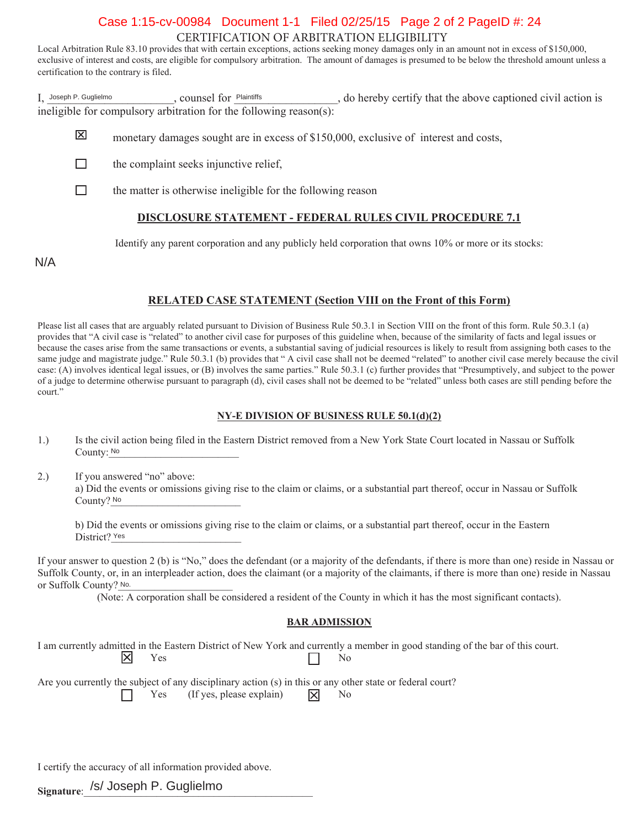# CERTIFICATION OF ARBITRATION ELIGIBILITY Case 1:15-cv-00984 Document 1-1 Filed 02/25/15 Page 2 of 2 PageID #: 24

Local Arbitration Rule 83.10 provides that with certain exceptions, actions seeking money damages only in an amount not in excess of \$150,000, exclusive of interest and costs, are eligible for compulsory arbitration. The amount of damages is presumed to be below the threshold amount unless a certification to the contrary is filed.

I, Joseph P. Guglielmo (counsel for Plaintiffs ), the propertify that the above captioned civil action is ineligible for compulsory arbitration for the following reason(s): Joseph P. Guglielmo **Process Community** Counsel for Plaintiffs

- 冈 monetary damages sought are in excess of \$150,000, exclusive of interest and costs,
- П the complaint seeks injunctive relief.
- $\Box$ the matter is otherwise ineligible for the following reason

# **DISCLOSURE STATEMENT - FEDERAL RULES CIVIL PROCEDURE 7.1**

Identify any parent corporation and any publicly held corporation that owns  $10\%$  or more or its stocks:

N/A

# **RELATED CASE STATEMENT (Section VIII on the Front of this Form)**

Please list all cases that are arguably related pursuant to Division of Business Rule 50.3.1 in Section VIII on the front of this form. Rule 50.3.1 (a) provides that "A civil case is "related" to another civil case for purposes of this guideline when, because of the similarity of facts and legal issues or because the cases arise from the same transactions or events, a substantial saving of judicial resources is likely to result from assigning both cases to the same judge and magistrate judge." Rule 50.3.1 (b) provides that "A civil case shall not be deemed "related" to another civil case merely because the civil case: (A) involves identical legal issues, or (B) involves the same parties." Rule 50.3.1 (c) further provides that "Presumptively, and subject to the power of a judge to determine otherwise pursuant to paragraph (d), civil cases shall not be deemed to be "related" unless both cases are still pending before the court."

#### **NY-E DIVISION OF BUSINESS RULE 50.1(d)(2)**

- 1.) Is the civil action being filed in the Eastern District removed from a New York State Court located in Nassau or Suffolk County: No. 2008. The County: No. 2008. The County: No. 2008. The County: No. 2008. The County: No. 2008. The County: No. 2008. The County: No. 2008. The County: No. 2008. The County: No. 2008. The County: No. 2008. The Co
- 2.) If you answered "no" above: a) Did the events or omissions giving rise to the claim or claims, or a substantial part thereof, occur in Nassau or Suffolk County? No

b) Did the events or omissions giving rise to the claim or claims, or a substantial part thereof, occur in the Eastern District? Yes

If your answer to question 2 (b) is "No," does the defendant (or a majority of the defendants, if there is more than one) reside in Nassau or Suffolk County, or, in an interpleader action, does the claimant (or a majority of the claimants, if there is more than one) reside in Nassau or Suffolk County? No.

(Note: A corporation shall be considered a resident of the County in which it has the most significant contacts).

#### **BAR ADMISSION**

I am currently admitted in the Eastern District of New York and currently a member in good standing of the bar of this court.  $\mathbb{X}$  $\Gamma$   $\Gamma$  188

Are you currently the subject of any disciplinary action  $(s)$  in this or any other state or federal court? Yes (If yes, please explain)  $|\mathbf{\nabla}|$  No

I certify the accuracy of all information provided above.

<sub>Signature:</sub> /s/ Joseph P. Guglielmo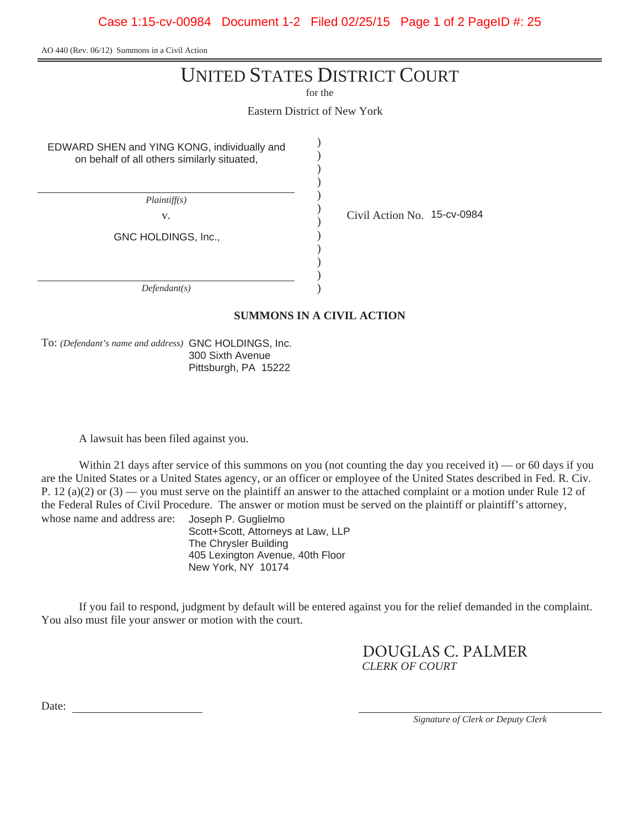AO 440 (Rev. 06/12) Summons in a Civil Action

# UNITED STATES DISTRICT COURT

for the

Eastern District of New York

) ) ) ) ) ) ) ) ) ) ) )

EDWARD SHEN and YING KONG, individually and on behalf of all others similarly situated,

*Plaintiff(s)*

v.  $\qquad \qquad \begin{array}{cc} \vee & \text{Civil Action No. } 15\text{-cv-0984} \end{array}$ 

GNC HOLDINGS, Inc.,

*Defendant(s)*

**SUMMONS IN A CIVIL ACTION**

To: *(Defendant's name and address)* GNC HOLDINGS, Inc. 300 Sixth Avenue Pittsburgh, PA 15222

A lawsuit has been filed against you.

Within 21 days after service of this summons on you (not counting the day you received it) — or 60 days if you are the United States or a United States agency, or an officer or employee of the United States described in Fed. R. Civ. P. 12 (a)(2) or (3) — you must serve on the plaintiff an answer to the attached complaint or a motion under Rule 12 of the Federal Rules of Civil Procedure. The answer or motion must be served on the plaintiff or plaintiff's attorney, whose name and address are: Joseph P. Guglielmo

Scott+Scott, Attorneys at Law, LLP The Chrysler Building 405 Lexington Avenue, 40th Floor New York, NY 10174

If you fail to respond, judgment by default will be entered against you for the relief demanded in the complaint. You also must file your answer or motion with the court.

> *CLERK OF COURT* DOUGLAS C. PALMER

Date:

*Signature of Clerk or Deputy Clerk*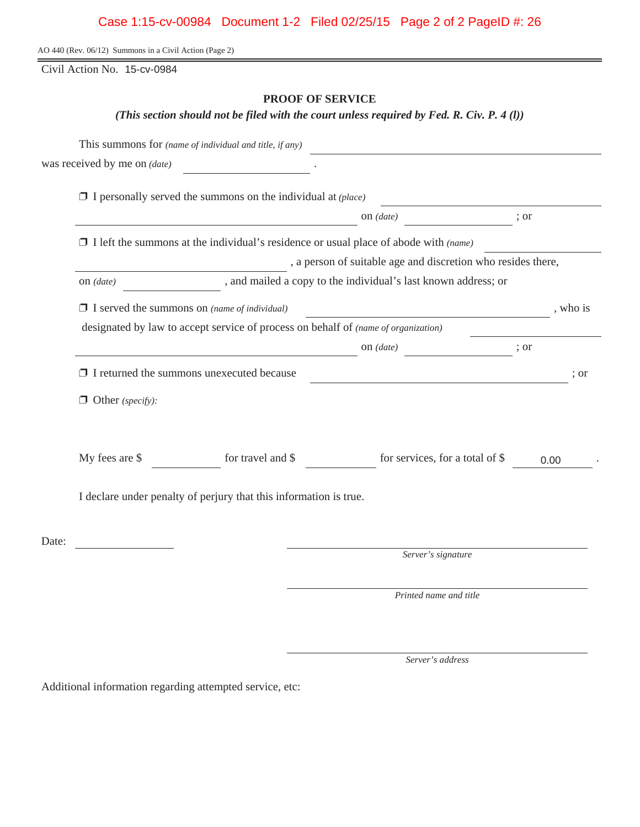# Case 1:15-cv-00984 Document 1-2 Filed 02/25/15 Page 2 of 2 PageID #: 26

AO 440 (Rev. 06/12) Summons in a Civil Action (Page 2)

Civil Action No. 15-cv-0984

# **PROOF OF SERVICE**

*(This section should not be filed with the court unless required by Fed. R. Civ. P. 4 (l))*

|       |                                                                                    | This summons for (name of individual and title, if any)             |                                                                                                                      |      |          |  |  |  |
|-------|------------------------------------------------------------------------------------|---------------------------------------------------------------------|----------------------------------------------------------------------------------------------------------------------|------|----------|--|--|--|
|       | was received by me on <i>(date)</i>                                                |                                                                     |                                                                                                                      |      |          |  |  |  |
|       |                                                                                    | $\Box$ I personally served the summons on the individual at (place) |                                                                                                                      |      |          |  |  |  |
|       |                                                                                    |                                                                     | on $(data)$                                                                                                          | ; or |          |  |  |  |
|       |                                                                                    |                                                                     | $\Box$ I left the summons at the individual's residence or usual place of abode with (name)                          |      |          |  |  |  |
|       | , a person of suitable age and discretion who resides there,                       |                                                                     |                                                                                                                      |      |          |  |  |  |
|       | , and mailed a copy to the individual's last known address; or<br>on $(data)$      |                                                                     |                                                                                                                      |      |          |  |  |  |
|       |                                                                                    | $\Box$ I served the summons on (name of individual)                 | <u> 1980 - Johann Barn, amerikan besteman besteman besteman besteman besteman besteman besteman besteman bestema</u> |      | , who is |  |  |  |
|       | designated by law to accept service of process on behalf of (name of organization) |                                                                     |                                                                                                                      |      |          |  |  |  |
|       |                                                                                    |                                                                     | on $(data)$                                                                                                          | ; or |          |  |  |  |
|       | $\Box$ I returned the summons unexecuted because                                   |                                                                     | ; or                                                                                                                 |      |          |  |  |  |
|       | $\Box$ Other (specify):                                                            |                                                                     |                                                                                                                      |      |          |  |  |  |
|       | My fees are \$                                                                     | for travel and \$                                                   | for services, for a total of \$                                                                                      | 0.00 |          |  |  |  |
|       |                                                                                    | I declare under penalty of perjury that this information is true.   |                                                                                                                      |      |          |  |  |  |
| Date: |                                                                                    |                                                                     |                                                                                                                      |      |          |  |  |  |
|       |                                                                                    |                                                                     | Server's signature                                                                                                   |      |          |  |  |  |
|       |                                                                                    |                                                                     | Printed name and title                                                                                               |      |          |  |  |  |
|       |                                                                                    |                                                                     |                                                                                                                      |      |          |  |  |  |

*Server's address*

Additional information regarding attempted service, etc: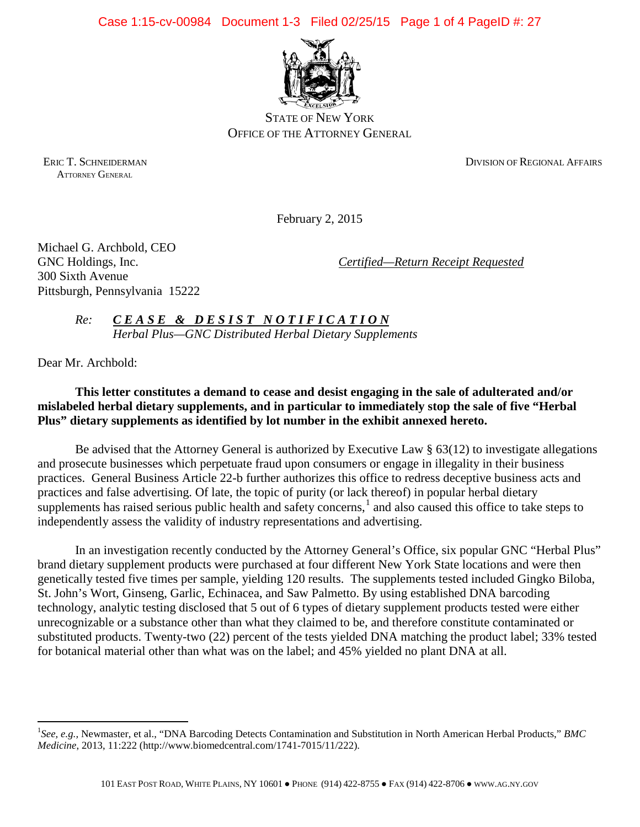Case 1:15-cv-00984 Document 1-3 Filed 02/25/15 Page 1 of 4 PageID #: 27



STATE OF NEW YORK OFFICE OF THE ATTORNEY GENERAL

ATTORNEY GENERAL

ERIC T. SCHNEIDERMAN DIVISION OF REGIONAL AFFAIRS

February 2, 2015

Michael G. Archbold, CEO 300 Sixth Avenue Pittsburgh, Pennsylvania 15222

GNC Holdings, Inc. *Certified—Return Receipt Requested* 

*Re: CEASE & DESIST NOTIFICATION Herbal Plus—GNC Distributed Herbal Dietary Supplements*

Dear Mr. Archbold:

 $\overline{a}$ 

# **This letter constitutes a demand to cease and desist engaging in the sale of adulterated and/or mislabeled herbal dietary supplements, and in particular to immediately stop the sale of five "Herbal Plus" dietary supplements as identified by lot number in the exhibit annexed hereto.**

Be advised that the Attorney General is authorized by Executive Law § 63(12) to investigate allegations and prosecute businesses which perpetuate fraud upon consumers or engage in illegality in their business practices. General Business Article 22-b further authorizes this office to redress deceptive business acts and practices and false advertising. Of late, the topic of purity (or lack thereof) in popular herbal dietary supplements has raised serious public health and safety concerns, $\frac{1}{1}$  $\frac{1}{1}$  $\frac{1}{1}$  and also caused this office to take steps to independently assess the validity of industry representations and advertising.

In an investigation recently conducted by the Attorney General's Office, six popular GNC "Herbal Plus" brand dietary supplement products were purchased at four different New York State locations and were then genetically tested five times per sample, yielding 120 results. The supplements tested included Gingko Biloba, St. John's Wort, Ginseng, Garlic, Echinacea, and Saw Palmetto. By using established DNA barcoding technology, analytic testing disclosed that 5 out of 6 types of dietary supplement products tested were either unrecognizable or a substance other than what they claimed to be, and therefore constitute contaminated or substituted products. Twenty-two (22) percent of the tests yielded DNA matching the product label; 33% tested for botanical material other than what was on the label; and 45% yielded no plant DNA at all.

<span id="page-26-0"></span><sup>&</sup>lt;sup>1</sup>See, e.g., Newmaster, et al., "DNA Barcoding Detects Contamination and Substitution in North American Herbal Products," BMC *Medicine*, 2013, 11:222 (http://www.biomedcentral.com/1741-7015/11/222).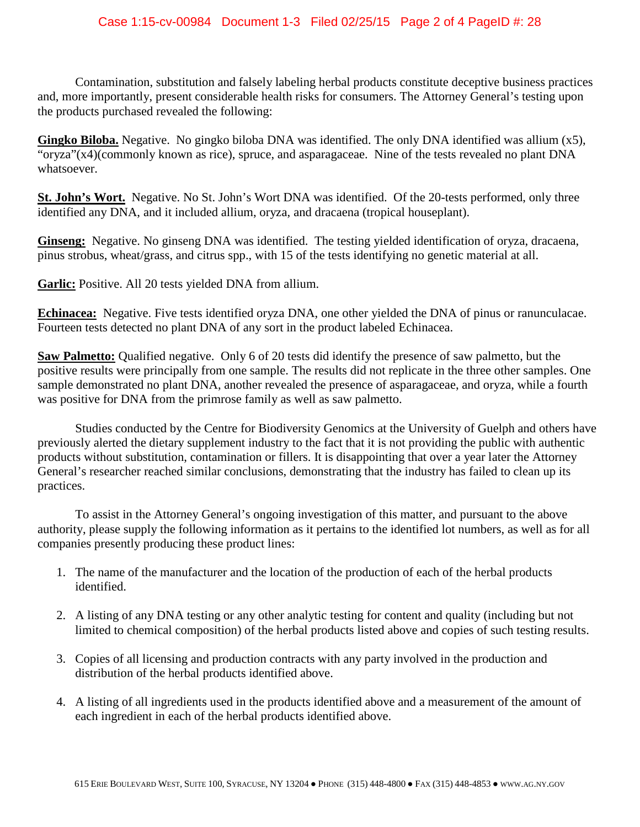Contamination, substitution and falsely labeling herbal products constitute deceptive business practices and, more importantly, present considerable health risks for consumers. The Attorney General's testing upon the products purchased revealed the following:

**Gingko Biloba.** Negative. No gingko biloba DNA was identified. The only DNA identified was allium (x5), "oryza"(x4)(commonly known as rice), spruce, and asparagaceae. Nine of the tests revealed no plant DNA whatsoever.

**St. John's Wort.** Negative. No St. John's Wort DNA was identified. Of the 20-tests performed, only three identified any DNA, and it included allium, oryza, and dracaena (tropical houseplant).

**Ginseng:** Negative. No ginseng DNA was identified. The testing yielded identification of oryza, dracaena, pinus strobus, wheat/grass, and citrus spp., with 15 of the tests identifying no genetic material at all.

**Garlic:** Positive. All 20 tests yielded DNA from allium.

**Echinacea:** Negative. Five tests identified oryza DNA, one other yielded the DNA of pinus or ranunculacae. Fourteen tests detected no plant DNA of any sort in the product labeled Echinacea.

**Saw Palmetto:** Qualified negative. Only 6 of 20 tests did identify the presence of saw palmetto, but the positive results were principally from one sample. The results did not replicate in the three other samples. One sample demonstrated no plant DNA, another revealed the presence of asparagaceae, and oryza, while a fourth was positive for DNA from the primrose family as well as saw palmetto.

Studies conducted by the Centre for Biodiversity Genomics at the University of Guelph and others have previously alerted the dietary supplement industry to the fact that it is not providing the public with authentic products without substitution, contamination or fillers. It is disappointing that over a year later the Attorney General's researcher reached similar conclusions, demonstrating that the industry has failed to clean up its practices.

To assist in the Attorney General's ongoing investigation of this matter, and pursuant to the above authority, please supply the following information as it pertains to the identified lot numbers, as well as for all companies presently producing these product lines:

- 1. The name of the manufacturer and the location of the production of each of the herbal products identified.
- 2. A listing of any DNA testing or any other analytic testing for content and quality (including but not limited to chemical composition) of the herbal products listed above and copies of such testing results.
- 3. Copies of all licensing and production contracts with any party involved in the production and distribution of the herbal products identified above.
- 4. A listing of all ingredients used in the products identified above and a measurement of the amount of each ingredient in each of the herbal products identified above.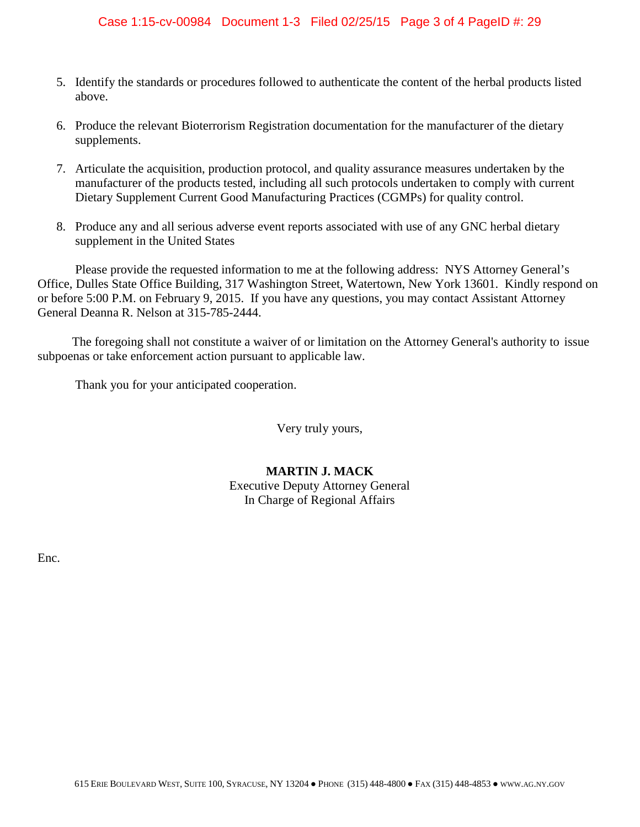# Case 1:15-cv-00984 Document 1-3 Filed 02/25/15 Page 3 of 4 PageID #: 29

- 5. Identify the standards or procedures followed to authenticate the content of the herbal products listed above.
- 6. Produce the relevant Bioterrorism Registration documentation for the manufacturer of the dietary supplements.
- 7. Articulate the acquisition, production protocol, and quality assurance measures undertaken by the manufacturer of the products tested, including all such protocols undertaken to comply with current Dietary Supplement Current Good Manufacturing Practices (CGMPs) for quality control.
- 8. Produce any and all serious adverse event reports associated with use of any GNC herbal dietary supplement in the United States

Please provide the requested information to me at the following address: NYS Attorney General's Office, Dulles State Office Building, 317 Washington Street, Watertown, New York 13601. Kindly respond on or before 5:00 P.M. on February 9, 2015. If you have any questions, you may contact Assistant Attorney General Deanna R. Nelson at 315-785-2444.

 The foregoing shall not constitute a waiver of or limitation on the Attorney General's authority to issue subpoenas or take enforcement action pursuant to applicable law.

Thank you for your anticipated cooperation.

Very truly yours,

# **MARTIN J. MACK** Executive Deputy Attorney General In Charge of Regional Affairs

Enc.